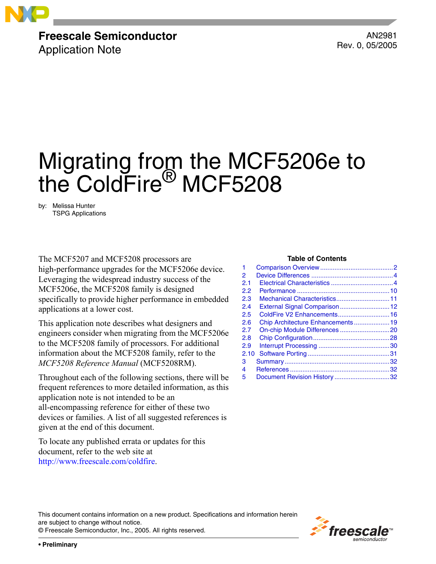

## **Freescale Semiconductor**

Application Note

AN2981 Rev. 0, 05/2005

# Migrating from the MCF5206e to the ColdFire<sup>®</sup> MCF5208

by: Melissa Hunter TSPG Applications

The MCF5207 and MCF5208 processors are **Table of Contents** high-performance upgrades for the MCF5206e device. Leveraging the widespread industry success of the MCF5206e, the MCF5208 family is designed specifically to provide higher performance in embedded applications at a lower cost.

This application note describes what designers and engineers consider when migrating from the MCF5206e to the MCF5208 family of processors. For additional information about the MCF5208 family, refer to the *MCF5208 Reference Manual* (MCF5208RM).

Throughout each of the following sections, there will be frequent references to more detailed information, as this application note is not intended to be an all-encompassing reference for either of these two devices or families. A list of all suggested references is given at the end of this document.

To locate any published errata or updates for this document, refer to the web site at [http://www.freescale.com/coldfire.](http://www.freescale.com/coldfire)

| 1    |                               |  |
|------|-------------------------------|--|
| 2    |                               |  |
| 2.1  |                               |  |
| 2.2  |                               |  |
| 2.3  |                               |  |
| 2.4  | External Signal Comparison 12 |  |
| 2.5  | ColdFire V2 Enhancements 16   |  |
| 2.6  |                               |  |
| 2.7  |                               |  |
| 2.8  |                               |  |
| 2.9  |                               |  |
| 2.10 |                               |  |
| 3    |                               |  |
| 4    |                               |  |
| 5    | Document Revision History 32  |  |

This document contains information on a new product. Specifications and information herein are subject to change without notice.

© Freescale Semiconductor, Inc., 2005. All rights reserved.

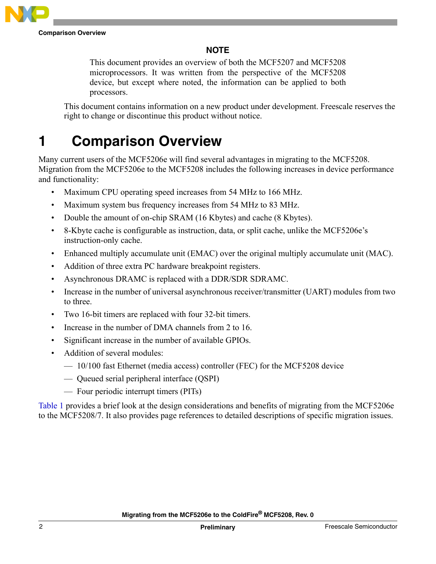**Comparison Overview**

**NOTE**

This document provides an overview of both the MCF5207 and MCF5208 microprocessors. It was written from the perspective of the MCF5208 device, but except where noted, the information can be applied to both processors.

This document contains information on a new product under development. Freescale reserves the right to change or discontinue this product without notice.

# <span id="page-1-0"></span>**1 Comparison Overview**

Many current users of the MCF5206e will find several advantages in migrating to the MCF5208. Migration from the MCF5206e to the MCF5208 includes the following increases in device performance and functionality:

- Maximum CPU operating speed increases from 54 MHz to 166 MHz.
- Maximum system bus frequency increases from 54 MHz to 83 MHz.
- Double the amount of on-chip SRAM (16 Kbytes) and cache (8 Kbytes).
- 8-Kbyte cache is configurable as instruction, data, or split cache, unlike the MCF5206e's instruction-only cache.
- Enhanced multiply accumulate unit (EMAC) over the original multiply accumulate unit (MAC).
- Addition of three extra PC hardware breakpoint registers.
- Asynchronous DRAMC is replaced with a DDR/SDR SDRAMC.
- Increase in the number of universal asynchronous receiver/transmitter (UART) modules from two to three.
- Two 16-bit timers are replaced with four 32-bit timers.
- Increase in the number of DMA channels from 2 to 16.
- Significant increase in the number of available GPIOs.
- Addition of several modules:
	- 10/100 fast Ethernet (media access) controller (FEC) for the MCF5208 device
	- Queued serial peripheral interface (QSPI)
	- Four periodic interrupt timers (PITs)

Table 1 provides a brief look at the design considerations and benefits of migrating from the MCF5206e to the MCF5208/7. It also provides page references to detailed descriptions of specific migration issues.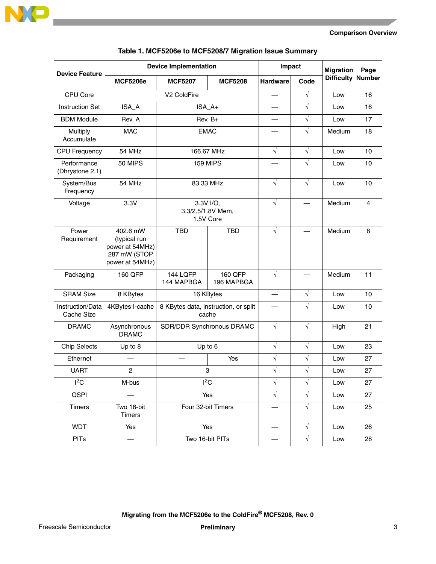

|                                | <b>Device Implementation</b>                                                   |                                             |                                               | Impact                   |            | <b>Migration</b>  | Page             |
|--------------------------------|--------------------------------------------------------------------------------|---------------------------------------------|-----------------------------------------------|--------------------------|------------|-------------------|------------------|
| <b>Device Feature</b>          | <b>MCF5206e</b>                                                                | <b>MCF5207</b>                              | <b>MCF5208</b>                                | <b>Hardware</b>          | Code       | <b>Difficulty</b> | <b>Number</b>    |
| CPU Core                       |                                                                                | V <sub>2</sub> ColdFire                     |                                               |                          | $\sqrt{ }$ | Low               | 16               |
| <b>Instruction Set</b>         | ISA_A                                                                          |                                             | ISA_A+                                        |                          | $\sqrt{ }$ | Low               | 16               |
| <b>BDM Module</b>              | Rev. A                                                                         |                                             | Rev. B+                                       |                          | $\sqrt{ }$ | Low               | 17               |
| Multiply<br>Accumulate         | <b>MAC</b>                                                                     |                                             | <b>EMAC</b>                                   |                          | $\sqrt{ }$ | Medium            | 18               |
| CPU Frequency                  | 54 MHz                                                                         |                                             | 166.67 MHz                                    | $\sqrt{ }$               | $\sqrt{ }$ | Low               | 10 <sup>10</sup> |
| Performance<br>(Dhrystone 2.1) | 50 MIPS                                                                        |                                             | 159 MIPS                                      |                          | $\sqrt{ }$ | Low               | 10               |
| System/Bus<br>Frequency        | 54 MHz                                                                         |                                             | 83.33 MHz                                     | $\sqrt{ }$               | $\sqrt{ }$ | Low               | 10               |
| Voltage                        | 3.3V                                                                           | 3.3V I/O,<br>3.3/2.5/1.8V Mem,<br>1.5V Core |                                               | $\sqrt{}$                |            | Medium            | 4                |
| Power<br>Requirement           | 402.6 mW<br>(typical run<br>power at 54MHz)<br>287 mW (STOP<br>power at 54MHz) | <b>TBD</b>                                  | <b>TBD</b>                                    | $\sqrt{ }$               |            | Medium            | 8                |
| Packaging                      | 160 QFP                                                                        | 144 LQFP<br>144 MAPBGA                      | 160 QFP<br>196 MAPBGA                         | $\sqrt{ }$               |            | Medium            | 11               |
| <b>SRAM Size</b>               | 8 KBytes                                                                       |                                             | 16 KBytes                                     | $\overline{\phantom{0}}$ | $\sqrt{ }$ | Low               | 10               |
| Instruction/Data<br>Cache Size | 4KBytes I-cache                                                                |                                             | 8 KBytes data, instruction, or split<br>cache |                          | $\sqrt{ }$ | Low               | 10               |
| <b>DRAMC</b>                   | Asynchronous<br><b>DRAMC</b>                                                   |                                             | SDR/DDR Synchronous DRAMC                     | $\sqrt{ }$               | $\sqrt{ }$ | High              | 21               |
| <b>Chip Selects</b>            | Up to 8                                                                        |                                             | Up to 6                                       | $\sqrt{ }$               | $\sqrt{ }$ | Low               | 23               |
| Ethernet                       |                                                                                |                                             | Yes                                           | $\sqrt{}$                | $\sqrt{ }$ | Low               | 27               |
| <b>UART</b>                    | $\overline{c}$                                                                 |                                             | 3                                             | $\sqrt{}$                | $\sqrt{}$  | Low               | 27               |
| $I^2C$                         | M-bus                                                                          | $I^2C$                                      |                                               | $\sqrt{}$                | $\sqrt{}$  | Low               | 27               |
| <b>QSPI</b>                    |                                                                                | Yes                                         |                                               | $\sqrt{ }$               | $\sqrt{}$  | Low               | 27               |
| <b>Timers</b>                  | Two 16-bit<br>Timers                                                           |                                             | Four 32-bit Timers                            |                          | $\sqrt{}$  | Low               | 25               |
| <b>WDT</b>                     | Yes                                                                            |                                             | Yes                                           |                          | $\sqrt{}$  | Low               | 26               |
| <b>PITs</b>                    |                                                                                |                                             | Two 16-bit PITs                               |                          | $\sqrt{}$  | Low               | 28               |

#### **Table 1. MCF5206e to MCF5208/7 Migration Issue Summary**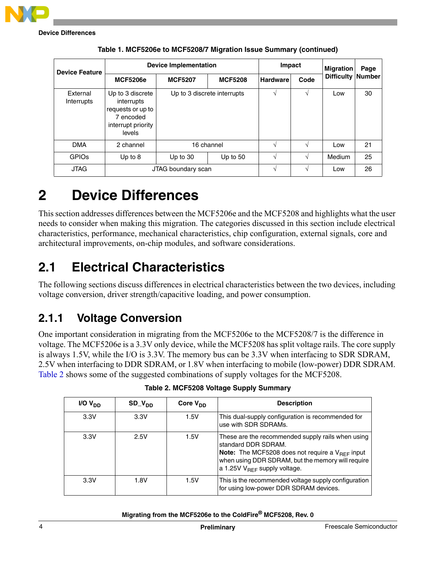

| <b>Device Feature</b>  | <b>Device Implementation</b>                                                                     |                    |                             | Impact          |      | <b>Migration</b>         | Page |
|------------------------|--------------------------------------------------------------------------------------------------|--------------------|-----------------------------|-----------------|------|--------------------------|------|
|                        | <b>MCF5206e</b>                                                                                  | <b>MCF5207</b>     | <b>MCF5208</b>              | <b>Hardware</b> | Code | <b>Difficulty Number</b> |      |
| External<br>Interrupts | Up to 3 discrete<br>interrupts<br>requests or up to<br>7 encoded<br>interrupt priority<br>levels |                    | Up to 3 discrete interrupts |                 | V    | Low                      | 30   |
| <b>DMA</b>             | 2 channel                                                                                        |                    | 16 channel                  | N               | V    | Low                      | 21   |
| GPIO <sub>s</sub>      | Up to $8$                                                                                        | Up to 30           | Up to 50                    | $\sim$          | V    | Medium                   | 25   |
| <b>JTAG</b>            |                                                                                                  | JTAG boundary scan |                             | V               | Low  | 26                       |      |

**Table 1. MCF5206e to MCF5208/7 Migration Issue Summary (continued)**

<span id="page-3-0"></span>This section addresses differences between the MCF5206e and the MCF5208 and highlights what the user needs to consider when making this migration. The categories discussed in this section include electrical characteristics, performance, mechanical characteristics, chip configuration, external signals, core and architectural improvements, on-chip modules, and software considerations.

## <span id="page-3-1"></span>**2.1 Electrical Characteristics**

The following sections discuss differences in electrical characteristics between the two devices, including voltage conversion, driver strength/capacitive loading, and power consumption.

## <span id="page-3-2"></span>**2.1.1 Voltage Conversion**

One important consideration in migrating from the MCF5206e to the MCF5208/7 is the difference in voltage. The MCF5206e is a 3.3V only device, while the MCF5208 has split voltage rails. The core supply is always 1.5V, while the I/O is 3.3V. The memory bus can be 3.3V when interfacing to SDR SDRAM, 2.5V when interfacing to DDR SDRAM, or 1.8V when interfacing to mobile (low-power) DDR SDRAM. [Table 2](#page-3-3) shows some of the suggested combinations of supply voltages for the MCF5208.

<span id="page-3-3"></span>

| $1/O$ $V_{DD}$ | $SD_V$ <sub>DD</sub> | Core $V_{DD}$ | <b>Description</b>                                                                                                                                                                                                                |
|----------------|----------------------|---------------|-----------------------------------------------------------------------------------------------------------------------------------------------------------------------------------------------------------------------------------|
| 3.3V           | 3.3V                 | 1.5V          | This dual-supply configuration is recommended for<br>use with SDR SDRAMs.                                                                                                                                                         |
| 3.3V           | 2.5V                 | 1.5V          | These are the recommended supply rails when using<br>standard DDR SDRAM.<br><b>Note:</b> The MCF5208 does not require a $V_{BFE}$ input<br>when using DDR SDRAM, but the memory will require<br>a 1.25V $V_{BFF}$ supply voltage. |
| 3.3V           | 1.8V                 | 1.5V          | This is the recommended voltage supply configuration<br>for using low-power DDR SDRAM devices.                                                                                                                                    |

**Table 2. MCF5208 Voltage Supply Summary**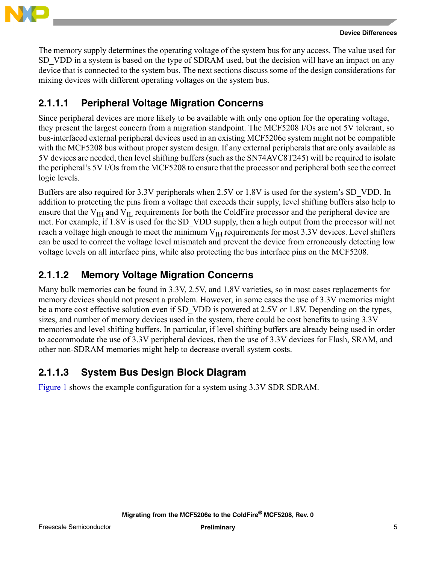

```
Device Differences
```
The memory supply determines the operating voltage of the system bus for any access. The value used for SD VDD in a system is based on the type of SDRAM used, but the decision will have an impact on any device that is connected to the system bus. The next sections discuss some of the design considerations for mixing devices with different operating voltages on the system bus.

### **2.1.1.1 Peripheral Voltage Migration Concerns**

Since peripheral devices are more likely to be available with only one option for the operating voltage, they present the largest concern from a migration standpoint. The MCF5208 I/Os are not 5V tolerant, so bus-interfaced external peripheral devices used in an existing MCF5206e system might not be compatible with the MCF5208 bus without proper system design. If any external peripherals that are only available as 5V devices are needed, then level shifting buffers (such as the SN74AVC8T245) will be required to isolate the peripheral's 5V I/Os from the MCF5208 to ensure that the processor and peripheral both see the correct logic levels.

Buffers are also required for 3.3V peripherals when 2.5V or 1.8V is used for the system's SD\_VDD. In addition to protecting the pins from a voltage that exceeds their supply, level shifting buffers also help to ensure that the  $V_{\text{IH}}$  and  $V_{\text{IL}}$  requirements for both the ColdFire processor and the peripheral device are met. For example, if 1.8V is used for the SD\_VDD supply, then a high output from the processor will not reach a voltage high enough to meet the minimum  $V<sub>IH</sub>$  requirements for most 3.3V devices. Level shifters can be used to correct the voltage level mismatch and prevent the device from erroneously detecting low voltage levels on all interface pins, while also protecting the bus interface pins on the MCF5208.

### **2.1.1.2 Memory Voltage Migration Concerns**

Many bulk memories can be found in 3.3V, 2.5V, and 1.8V varieties, so in most cases replacements for memory devices should not present a problem. However, in some cases the use of 3.3V memories might be a more cost effective solution even if SD\_VDD is powered at 2.5V or 1.8V. Depending on the types, sizes, and number of memory devices used in the system, there could be cost benefits to using 3.3V memories and level shifting buffers. In particular, if level shifting buffers are already being used in order to accommodate the use of 3.3V peripheral devices, then the use of 3.3V devices for Flash, SRAM, and other non-SDRAM memories might help to decrease overall system costs.

### **2.1.1.3 System Bus Design Block Diagram**

Figure 1 shows the example configuration for a system using 3.3V SDR SDRAM.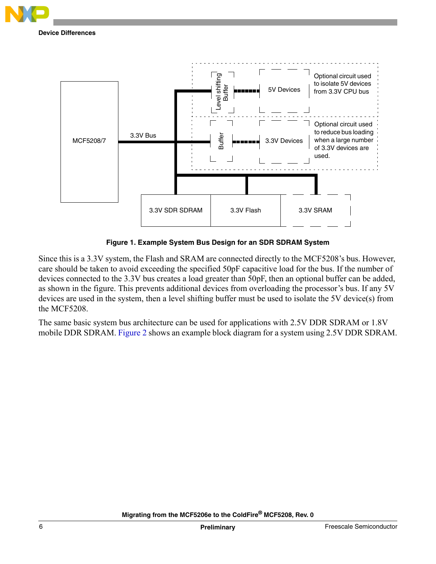



**Figure 1. Example System Bus Design for an SDR SDRAM System**

Since this is a 3.3V system, the Flash and SRAM are connected directly to the MCF5208's bus. However, care should be taken to avoid exceeding the specified 50pF capacitive load for the bus. If the number of devices connected to the 3.3V bus creates a load greater than 50pF, then an optional buffer can be added, as shown in the figure. This prevents additional devices from overloading the processor's bus. If any 5V devices are used in the system, then a level shifting buffer must be used to isolate the 5V device(s) from the MCF5208.

The same basic system bus architecture can be used for applications with 2.5V DDR SDRAM or 1.8V mobile DDR SDRAM. [Figure 2](#page-6-0) shows an example block diagram for a system using 2.5V DDR SDRAM.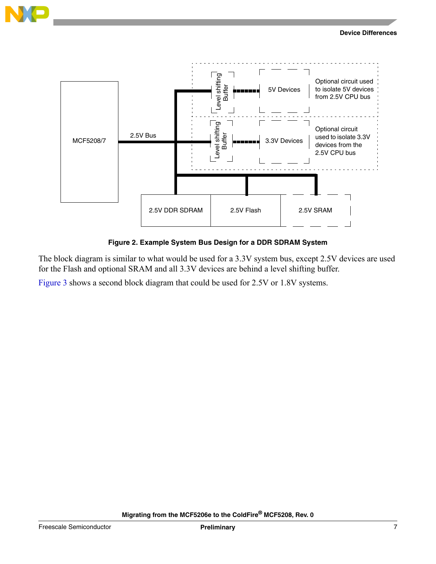



#### **Figure 2. Example System Bus Design for a DDR SDRAM System**

<span id="page-6-0"></span>The block diagram is similar to what would be used for a 3.3V system bus, except 2.5V devices are used for the Flash and optional SRAM and all 3.3V devices are behind a level shifting buffer.

[Figure 3](#page-7-1) shows a second block diagram that could be used for 2.5V or 1.8V systems.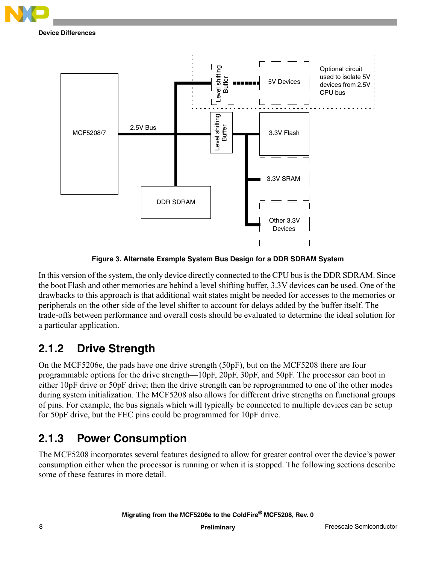



**Figure 3. Alternate Example System Bus Design for a DDR SDRAM System**

<span id="page-7-1"></span>In this version of the system, the only device directly connected to the CPU bus is the DDR SDRAM. Since the boot Flash and other memories are behind a level shifting buffer, 3.3V devices can be used. One of the drawbacks to this approach is that additional wait states might be needed for accesses to the memories or peripherals on the other side of the level shifter to account for delays added by the buffer itself. The trade-offs between performance and overall costs should be evaluated to determine the ideal solution for a particular application.

## **2.1.2 Drive Strength**

On the MCF5206e, the pads have one drive strength (50pF), but on the MCF5208 there are four programmable options for the drive strength—10pF, 20pF, 30pF, and 50pF. The processor can boot in either 10pF drive or 50pF drive; then the drive strength can be reprogrammed to one of the other modes during system initialization. The MCF5208 also allows for different drive strengths on functional groups of pins. For example, the bus signals which will typically be connected to multiple devices can be setup for 50pF drive, but the FEC pins could be programmed for 10pF drive.

## <span id="page-7-0"></span>**2.1.3 Power Consumption**

The MCF5208 incorporates several features designed to allow for greater control over the device's power consumption either when the processor is running or when it is stopped. The following sections describe some of these features in more detail.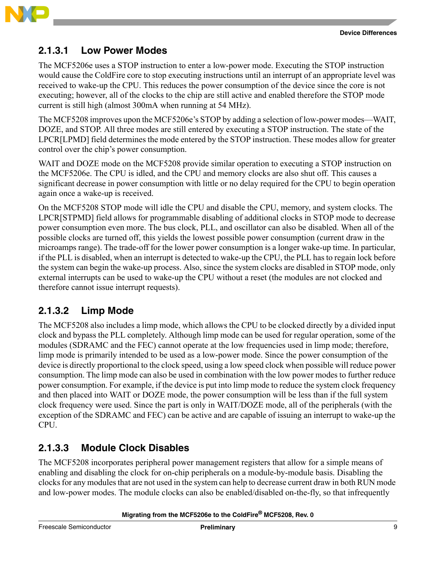

### **2.1.3.1 Low Power Modes**

The MCF5206e uses a STOP instruction to enter a low-power mode. Executing the STOP instruction would cause the ColdFire core to stop executing instructions until an interrupt of an appropriate level was received to wake-up the CPU. This reduces the power consumption of the device since the core is not executing; however, all of the clocks to the chip are still active and enabled therefore the STOP mode current is still high (almost 300mA when running at 54 MHz).

The MCF5208 improves upon the MCF5206e's STOP by adding a selection of low-power modes—WAIT, DOZE, and STOP. All three modes are still entered by executing a STOP instruction. The state of the LPCR[LPMD] field determines the mode entered by the STOP instruction. These modes allow for greater control over the chip's power consumption.

WAIT and DOZE mode on the MCF5208 provide similar operation to executing a STOP instruction on the MCF5206e. The CPU is idled, and the CPU and memory clocks are also shut off. This causes a significant decrease in power consumption with little or no delay required for the CPU to begin operation again once a wake-up is received.

On the MCF5208 STOP mode will idle the CPU and disable the CPU, memory, and system clocks. The LPCR[STPMD] field allows for programmable disabling of additional clocks in STOP mode to decrease power consumption even more. The bus clock, PLL, and oscillator can also be disabled. When all of the possible clocks are turned off, this yields the lowest possible power consumption (current draw in the microamps range). The trade-off for the lower power consumption is a longer wake-up time. In particular, if the PLL is disabled, when an interrupt is detected to wake-up the CPU, the PLL has to regain lock before the system can begin the wake-up process. Also, since the system clocks are disabled in STOP mode, only external interrupts can be used to wake-up the CPU without a reset (the modules are not clocked and therefore cannot issue interrupt requests).

### **2.1.3.2 Limp Mode**

The MCF5208 also includes a limp mode, which allows the CPU to be clocked directly by a divided input clock and bypass the PLL completely. Although limp mode can be used for regular operation, some of the modules (SDRAMC and the FEC) cannot operate at the low frequencies used in limp mode; therefore, limp mode is primarily intended to be used as a low-power mode. Since the power consumption of the device is directly proportional to the clock speed, using a low speed clock when possible will reduce power consumption. The limp mode can also be used in combination with the low power modes to further reduce power consumption. For example, if the device is put into limp mode to reduce the system clock frequency and then placed into WAIT or DOZE mode, the power consumption will be less than if the full system clock frequency were used. Since the part is only in WAIT/DOZE mode, all of the peripherals (with the exception of the SDRAMC and FEC) can be active and are capable of issuing an interrupt to wake-up the CPU.

#### **2.1.3.3 Module Clock Disables**

The MCF5208 incorporates peripheral power management registers that allow for a simple means of enabling and disabling the clock for on-chip peripherals on a module-by-module basis. Disabling the clocks for any modules that are not used in the system can help to decrease current draw in both RUN mode and low-power modes. The module clocks can also be enabled/disabled on-the-fly, so that infrequently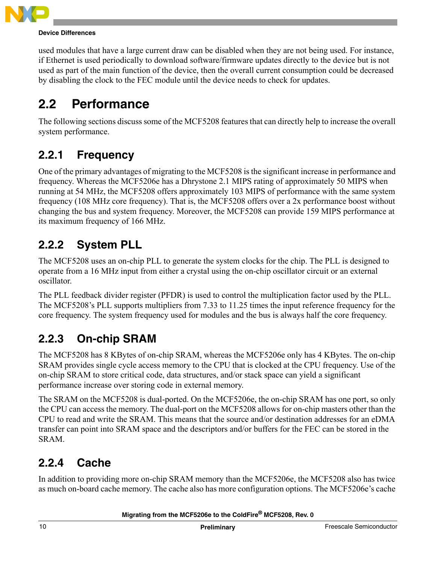

used modules that have a large current draw can be disabled when they are not being used. For instance, if Ethernet is used periodically to download software/firmware updates directly to the device but is not used as part of the main function of the device, then the overall current consumption could be decreased by disabling the clock to the FEC module until the device needs to check for updates.

## <span id="page-9-0"></span>**2.2 Performance**

The following sections discuss some of the MCF5208 features that can directly help to increase the overall system performance.

## **2.2.1 Frequency**

One of the primary advantages of migrating to the MCF5208 is the significant increase in performance and frequency. Whereas the MCF5206e has a Dhrystone 2.1 MIPS rating of approximately 50 MIPS when running at 54 MHz, the MCF5208 offers approximately 103 MIPS of performance with the same system frequency (108 MHz core frequency). That is, the MCF5208 offers over a 2x performance boost without changing the bus and system frequency. Moreover, the MCF5208 can provide 159 MIPS performance at its maximum frequency of 166 MHz.

## **2.2.2 System PLL**

The MCF5208 uses an on-chip PLL to generate the system clocks for the chip. The PLL is designed to operate from a 16 MHz input from either a crystal using the on-chip oscillator circuit or an external oscillator.

The PLL feedback divider register (PFDR) is used to control the multiplication factor used by the PLL. The MCF5208's PLL supports multipliers from 7.33 to 11.25 times the input reference frequency for the core frequency. The system frequency used for modules and the bus is always half the core frequency.

## <span id="page-9-1"></span>**2.2.3 On-chip SRAM**

The MCF5208 has 8 KBytes of on-chip SRAM, whereas the MCF5206e only has 4 KBytes. The on-chip SRAM provides single cycle access memory to the CPU that is clocked at the CPU frequency. Use of the on-chip SRAM to store critical code, data structures, and/or stack space can yield a significant performance increase over storing code in external memory.

The SRAM on the MCF5208 is dual-ported. On the MCF5206e, the on-chip SRAM has one port, so only the CPU can access the memory. The dual-port on the MCF5208 allows for on-chip masters other than the CPU to read and write the SRAM. This means that the source and/or destination addresses for an eDMA transfer can point into SRAM space and the descriptors and/or buffers for the FEC can be stored in the SRAM.

## <span id="page-9-2"></span>**2.2.4 Cache**

In addition to providing more on-chip SRAM memory than the MCF5206e, the MCF5208 also has twice as much on-board cache memory. The cache also has more configuration options. The MCF5206e's cache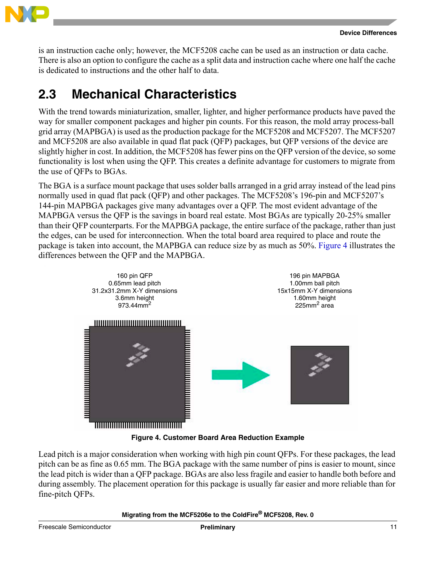

is an instruction cache only; however, the MCF5208 cache can be used as an instruction or data cache. There is also an option to configure the cache as a split data and instruction cache where one half the cache is dedicated to instructions and the other half to data.

## <span id="page-10-0"></span>**2.3 Mechanical Characteristics**

With the trend towards miniaturization, smaller, lighter, and higher performance products have paved the way for smaller component packages and higher pin counts. For this reason, the mold array process-ball grid array (MAPBGA) is used as the production package for the MCF5208 and MCF5207. The MCF5207 and MCF5208 are also available in quad flat pack (QFP) packages, but QFP versions of the device are slightly higher in cost. In addition, the MCF5208 has fewer pins on the QFP version of the device, so some functionality is lost when using the QFP. This creates a definite advantage for customers to migrate from the use of QFPs to BGAs.

The BGA is a surface mount package that uses solder balls arranged in a grid array instead of the lead pins normally used in quad flat pack (QFP) and other packages. The MCF5208's 196-pin and MCF5207's 144-pin MAPBGA packages give many advantages over a QFP. The most evident advantage of the MAPBGA versus the QFP is the savings in board real estate. Most BGAs are typically 20-25% smaller than their QFP counterparts. For the MAPBGA package, the entire surface of the package, rather than just the edges, can be used for interconnection. When the total board area required to place and route the package is taken into account, the MAPBGA can reduce size by as much as 50%. Figure 4 illustrates the differences between the QFP and the MAPBGA.



**Figure 4. Customer Board Area Reduction Example**

Lead pitch is a major consideration when working with high pin count QFPs. For these packages, the lead pitch can be as fine as 0.65 mm. The BGA package with the same number of pins is easier to mount, since the lead pitch is wider than a QFP package. BGAs are also less fragile and easier to handle both before and during assembly. The placement operation for this package is usually far easier and more reliable than for fine-pitch QFPs.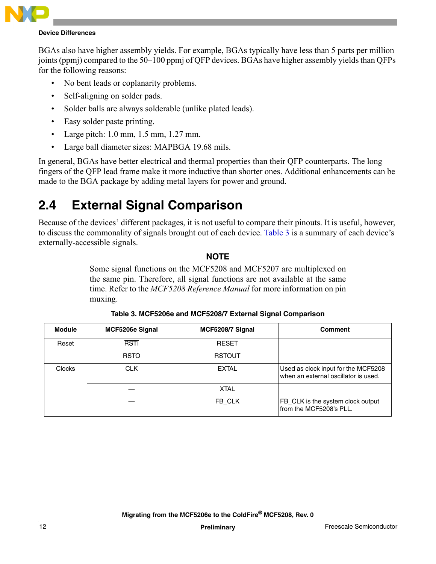

BGAs also have higher assembly yields. For example, BGAs typically have less than 5 parts per million joints (ppmj) compared to the 50–100 ppmj of QFP devices. BGAs have higher assembly yields than QFPs for the following reasons:

- No bent leads or coplanarity problems.
- Self-aligning on solder pads.
- Solder balls are always solderable (unlike plated leads).
- Easy solder paste printing.
- Large pitch: 1.0 mm, 1.5 mm, 1.27 mm.
- Large ball diameter sizes: MAPBGA 19.68 mils.

In general, BGAs have better electrical and thermal properties than their QFP counterparts. The long fingers of the QFP lead frame make it more inductive than shorter ones. Additional enhancements can be made to the BGA package by adding metal layers for power and ground.

## <span id="page-11-0"></span>**2.4 External Signal Comparison**

Because of the devices' different packages, it is not useful to compare their pinouts. It is useful, however, to discuss the commonality of signals brought out of each device. Table 3 is a summary of each device's externally-accessible signals.

#### **NOTE**

Some signal functions on the MCF5208 and MCF5207 are multiplexed on the same pin. Therefore, all signal functions are not available at the same time. Refer to the *MCF5208 Reference Manual* for more information on pin muxing.

| <b>Module</b> | MCF5206e Signal | MCF5208/7 Signal | <b>Comment</b>                                                              |
|---------------|-----------------|------------------|-----------------------------------------------------------------------------|
| Reset         | <b>RSTI</b>     | <b>RESET</b>     |                                                                             |
|               | <b>RSTO</b>     | <b>RSTOUT</b>    |                                                                             |
| <b>Clocks</b> | <b>CLK</b>      | <b>EXTAL</b>     | Used as clock input for the MCF5208<br>when an external oscillator is used. |
|               |                 | <b>XTAL</b>      |                                                                             |
|               |                 | FB CLK           | FB_CLK is the system clock output<br>Ifrom the MCF5208's PLL.               |

**Table 3. MCF5206e and MCF5208/7 External Signal Comparison**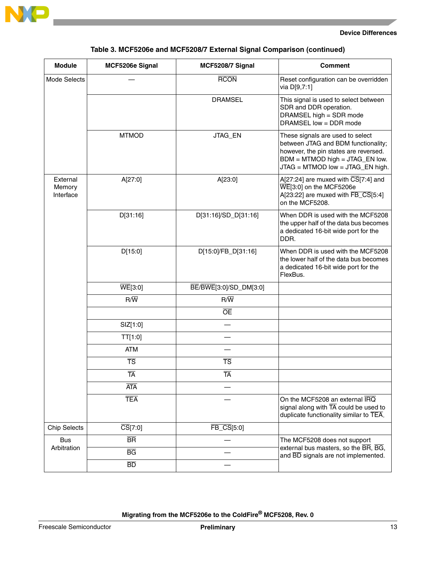

| <b>Module</b>                   | MCF5206e Signal             | MCF5208/7 Signal       | <b>Comment</b>                                                                                                                                                                          |
|---------------------------------|-----------------------------|------------------------|-----------------------------------------------------------------------------------------------------------------------------------------------------------------------------------------|
| Mode Selects                    |                             | <b>RCON</b>            | Reset configuration can be overridden<br>via D[9,7:1]                                                                                                                                   |
|                                 |                             | <b>DRAMSEL</b>         | This signal is used to select between<br>SDR and DDR operation.<br>DRAMSEL high = SDR mode<br>DRAMSEL low = DDR mode                                                                    |
|                                 | <b>MTMOD</b>                | JTAG_EN                | These signals are used to select<br>between JTAG and BDM functionality;<br>however, the pin states are reversed.<br>BDM = MTMOD high = JTAG_EN low.<br>JTAG = MTMOD low = JTAG_EN high. |
| External<br>Memory<br>Interface | A[27:0]                     | A[23:0]                | A[27:24] are muxed with $\overline{CS}$ [7:4] and<br>WE[3:0] on the MCF5206e<br>$A[23:22]$ are muxed with $\overline{FB\_CS}[5:4]$<br>on the MCF5208.                                   |
|                                 | D[31:16]                    | D[31:16]/SD_D[31:16]   | When DDR is used with the MCF5208<br>the upper half of the data bus becomes<br>a dedicated 16-bit wide port for the<br>DDR.                                                             |
|                                 | D[15:0]                     | D[15:0]/FB_D[31:16]    | When DDR is used with the MCF5208<br>the lower half of the data bus becomes<br>a dedicated 16-bit wide port for the<br>FlexBus.                                                         |
|                                 | WE[3:0]                     | BE/BWE[3:0]/SD_DM[3:0] |                                                                                                                                                                                         |
|                                 | $R/\sqrt{W}$                | $R/\sqrt{W}$           |                                                                                                                                                                                         |
|                                 |                             | <b>OE</b>              |                                                                                                                                                                                         |
|                                 | SIZ[1:0]                    |                        |                                                                                                                                                                                         |
|                                 | TT[1:0]                     |                        |                                                                                                                                                                                         |
|                                 | <b>ATM</b>                  |                        |                                                                                                                                                                                         |
|                                 | $\overline{\text{TS}}$      | $\overline{\text{TS}}$ |                                                                                                                                                                                         |
|                                 | TĀ                          | TĀ                     |                                                                                                                                                                                         |
|                                 | <b>ATA</b>                  |                        |                                                                                                                                                                                         |
|                                 | <b>TEA</b>                  |                        | On the MCF5208 an external IRQ<br>signal along with $\overline{TA}$ could be used to<br>duplicate functionality similar to TEA.                                                         |
| <b>Chip Selects</b>             | $\overline{\text{CS}}[7:0]$ | FB_CS[5:0]             |                                                                                                                                                                                         |
| <b>Bus</b>                      | <b>BR</b>                   |                        | The MCF5208 does not support                                                                                                                                                            |
| Arbitration                     | $\overline{BG}$             |                        | external bus masters, so the BR, BG,<br>and BD signals are not implemented.                                                                                                             |
|                                 | BD                          |                        |                                                                                                                                                                                         |

#### **Table 3. MCF5206e and MCF5208/7 External Signal Comparison (continued)**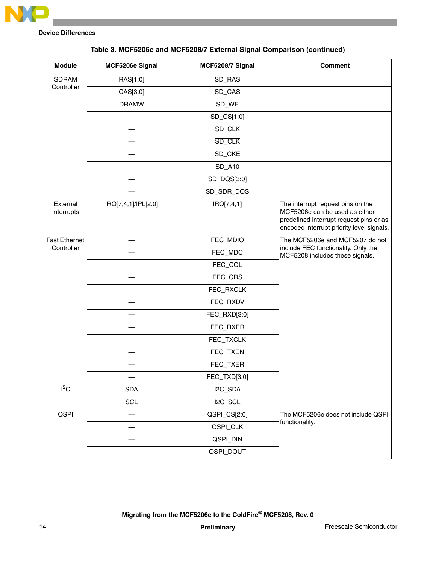

| <b>Module</b>          | MCF5206e Signal     | MCF5208/7 Signal | <b>Comment</b>                                                                                                                                              |
|------------------------|---------------------|------------------|-------------------------------------------------------------------------------------------------------------------------------------------------------------|
| <b>SDRAM</b>           | RAS[1:0]            | SD_RAS           |                                                                                                                                                             |
| Controller             | CAS[3:0]            | SD_CAS           |                                                                                                                                                             |
|                        | <b>DRAMW</b>        | SD_WE            |                                                                                                                                                             |
|                        |                     | $SD_CSS[1:0]$    |                                                                                                                                                             |
|                        |                     | SD_CLK           |                                                                                                                                                             |
|                        |                     | SD_CLK           |                                                                                                                                                             |
|                        |                     | SD_CKE           |                                                                                                                                                             |
|                        |                     | <b>SD_A10</b>    |                                                                                                                                                             |
|                        |                     | SD_DQS[3:0]      |                                                                                                                                                             |
|                        |                     | SD_SDR_DQS       |                                                                                                                                                             |
| External<br>Interrupts | IRQ[7,4,1]/IPL[2:0] | IRQ[7,4,1]       | The interrupt request pins on the<br>MCF5206e can be used as either<br>predefined interrupt request pins or as<br>encoded interrupt priority level signals. |
| <b>Fast Ethernet</b>   |                     | FEC_MDIO         | The MCF5206e and MCF5207 do not                                                                                                                             |
| Controller             |                     | FEC_MDC          | include FEC functionality. Only the<br>MCF5208 includes these signals.                                                                                      |
|                        |                     | FEC_COL          |                                                                                                                                                             |
|                        |                     | FEC_CRS          |                                                                                                                                                             |
|                        |                     | FEC_RXCLK        |                                                                                                                                                             |
|                        |                     | FEC_RXDV         |                                                                                                                                                             |
|                        |                     | FEC_RXD[3:0]     |                                                                                                                                                             |
|                        |                     | FEC_RXER         |                                                                                                                                                             |
|                        |                     | FEC_TXCLK        |                                                                                                                                                             |
|                        |                     | FEC_TXEN         |                                                                                                                                                             |
|                        |                     | FEC_TXER         |                                                                                                                                                             |
|                        |                     | FEC_TXD[3:0]     |                                                                                                                                                             |
| $\overline{I^2C}$      | <b>SDA</b>          | I2C_SDA          |                                                                                                                                                             |
|                        | <b>SCL</b>          | I2C_SCL          |                                                                                                                                                             |
| QSPI                   |                     | QSPI_CS[2:0]     | The MCF5206e does not include QSPI                                                                                                                          |
|                        |                     | QSPI_CLK         | functionality.                                                                                                                                              |
|                        |                     | QSPI_DIN         |                                                                                                                                                             |
|                        |                     | QSPI_DOUT        |                                                                                                                                                             |

#### **Table 3. MCF5206e and MCF5208/7 External Signal Comparison (continued)**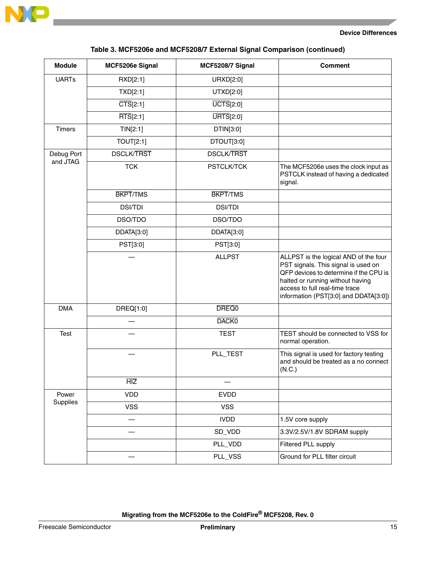

| <b>Module</b> | MCF5206e Signal       | MCF5208/7 Signal       | <b>Comment</b>                                                                                                                                                                                                                        |
|---------------|-----------------------|------------------------|---------------------------------------------------------------------------------------------------------------------------------------------------------------------------------------------------------------------------------------|
| <b>UARTs</b>  | RXD[2:1]              | URXD[2:0]              |                                                                                                                                                                                                                                       |
|               | TXD[2:1]              | UTXD[2:0]              |                                                                                                                                                                                                                                       |
|               | $\overline{CTS}[2:1]$ | $\overline{UCTS}[2:0]$ |                                                                                                                                                                                                                                       |
|               | RTS[2:1]              | $\overline{URTS[2:0]}$ |                                                                                                                                                                                                                                       |
| <b>Timers</b> | TIN[2:1]              | DTIN[3:0]              |                                                                                                                                                                                                                                       |
|               | <b>TOUT[2:1]</b>      | DTOUT[3:0]             |                                                                                                                                                                                                                                       |
| Debug Port    | <b>DSCLK/TRST</b>     | <b>DSCLK/TRST</b>      |                                                                                                                                                                                                                                       |
| and JTAG      | <b>TCK</b>            | PSTCLK/TCK             | The MCF5206e uses the clock input as<br>PSTCLK instead of having a dedicated<br>signal.                                                                                                                                               |
|               | BKPT/TMS              | BKPT/TMS               |                                                                                                                                                                                                                                       |
|               | <b>DSI/TDI</b>        | <b>DSI/TDI</b>         |                                                                                                                                                                                                                                       |
|               | DSO/TDO               | DSO/TDO                |                                                                                                                                                                                                                                       |
|               | DDATA[3:0]            | DDATA[3:0]             |                                                                                                                                                                                                                                       |
|               | PST[3:0]              | PST[3:0]               |                                                                                                                                                                                                                                       |
|               |                       | <b>ALLPST</b>          | ALLPST is the logical AND of the four<br>PST signals. This signal is used on<br>QFP devices to determine if the CPU is<br>halted or running without having<br>access to full real-time trace<br>information (PST[3:0] and DDATA[3:0]) |
| <b>DMA</b>    | DREQ[1:0]             | DREQ0                  |                                                                                                                                                                                                                                       |
|               |                       | DACK <sub>0</sub>      |                                                                                                                                                                                                                                       |
| Test          |                       | <b>TEST</b>            | TEST should be connected to VSS for<br>normal operation.                                                                                                                                                                              |
|               |                       | PLL_TEST               | This signal is used for factory testing<br>and should be treated as a no connect<br>(N.C.)                                                                                                                                            |
|               | $\overline{HIZ}$      |                        |                                                                                                                                                                                                                                       |
| Power         | VDD                   | <b>EVDD</b>            |                                                                                                                                                                                                                                       |
| Supplies      | <b>VSS</b>            | <b>VSS</b>             |                                                                                                                                                                                                                                       |
|               |                       | <b>IVDD</b>            | 1.5V core supply                                                                                                                                                                                                                      |
|               |                       | SD_VDD                 | 3.3V/2.5V/1.8V SDRAM supply                                                                                                                                                                                                           |
|               |                       | PLL_VDD                | Filtered PLL supply                                                                                                                                                                                                                   |
|               |                       | PLL_VSS                | Ground for PLL filter circuit                                                                                                                                                                                                         |

#### **Table 3. MCF5206e and MCF5208/7 External Signal Comparison (continued)**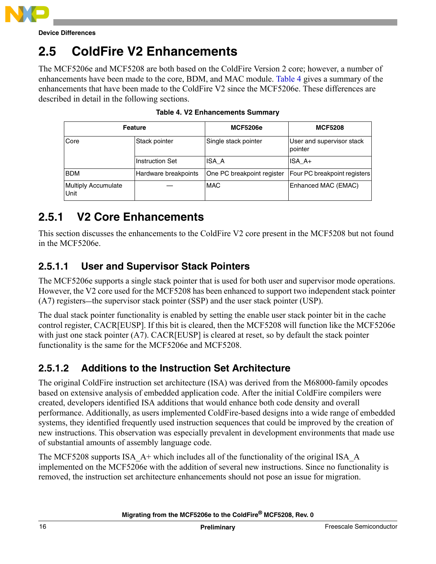

## <span id="page-15-0"></span>**2.5 ColdFire V2 Enhancements**

The MCF5206e and MCF5208 are both based on the ColdFire Version 2 core; however, a number of enhancements have been made to the core, BDM, and MAC module. Table 4 gives a summary of the enhancements that have been made to the ColdFire V2 since the MCF5206e. These differences are described in detail in the following sections.

|                                    | <b>Feature</b>         | <b>MCF5206e</b>            | <b>MCF5208</b>                       |
|------------------------------------|------------------------|----------------------------|--------------------------------------|
| Core                               | Stack pointer          | Single stack pointer       | User and supervisor stack<br>pointer |
|                                    | <b>Instruction Set</b> | ISA A                      | $ISA A+$                             |
| <b>BDM</b>                         | Hardware breakpoints   | One PC breakpoint register | Four PC breakpoint registers         |
| <b>Multiply Accumulate</b><br>Unit |                        | <b>MAC</b>                 | Enhanced MAC (EMAC)                  |

**Table 4. V2 Enhancements Summary**

## <span id="page-15-1"></span>**2.5.1 V2 Core Enhancements**

This section discusses the enhancements to the ColdFire V2 core present in the MCF5208 but not found in the MCF5206e.

### **2.5.1.1 User and Supervisor Stack Pointers**

The MCF5206e supports a single stack pointer that is used for both user and supervisor mode operations. However, the V2 core used for the MCF5208 has been enhanced to support two independent stack pointer (A7) registers—the supervisor stack pointer (SSP) and the user stack pointer (USP).

The dual stack pointer functionality is enabled by setting the enable user stack pointer bit in the cache control register, CACR[EUSP]. If this bit is cleared, then the MCF5208 will function like the MCF5206e with just one stack pointer (A7). CACR[EUSP] is cleared at reset, so by default the stack pointer functionality is the same for the MCF5206e and MCF5208.

### <span id="page-15-2"></span>**2.5.1.2 Additions to the Instruction Set Architecture**

The original ColdFire instruction set architecture (ISA) was derived from the M68000-family opcodes based on extensive analysis of embedded application code. After the initial ColdFire compilers were created, developers identified ISA additions that would enhance both code density and overall performance. Additionally, as users implemented ColdFire-based designs into a wide range of embedded systems, they identified frequently used instruction sequences that could be improved by the creation of new instructions. This observation was especially prevalent in development environments that made use of substantial amounts of assembly language code.

The MCF5208 supports ISA A+ which includes all of the functionality of the original ISA A implemented on the MCF5206e with the addition of several new instructions. Since no functionality is removed, the instruction set architecture enhancements should not pose an issue for migration.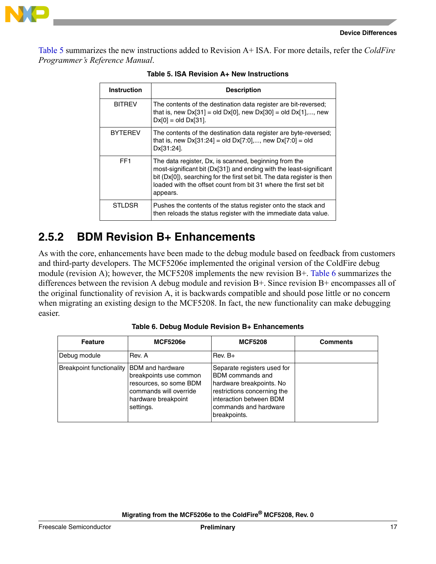

Table 5 summarizes the new instructions added to Revision A+ ISA. For more details, refer the *ColdFire Programmer's Reference Manual*.

| <b>Instruction</b> | <b>Description</b>                                                                                                                                                                                                                                                                      |
|--------------------|-----------------------------------------------------------------------------------------------------------------------------------------------------------------------------------------------------------------------------------------------------------------------------------------|
| <b>BITREV</b>      | The contents of the destination data register are bit-reversed;<br>that is, new $Dx[31] = old Dx[0]$ , new $Dx[30] = old Dx[1]$ ,, new<br>$Dx[0] = old Dx[31]$ .                                                                                                                        |
| <b>BYTEREV</b>     | The contents of the destination data register are byte-reversed;<br>that is, new $Dx[31:24] = old Dx[7:0]$ , new $Dx[7:0] = old$<br>Dx[31:24].                                                                                                                                          |
| FF <sub>1</sub>    | The data register, Dx, is scanned, beginning from the<br>most-significant bit (Dx[31]) and ending with the least-significant<br>bit (Dx[0]), searching for the first set bit. The data register is then<br>loaded with the offset count from bit 31 where the first set bit<br>appears. |
| <b>STLDSR</b>      | Pushes the contents of the status register onto the stack and<br>then reloads the status register with the immediate data value.                                                                                                                                                        |

|  |  |  | Table 5. ISA Revision A+ New Instructions |
|--|--|--|-------------------------------------------|
|--|--|--|-------------------------------------------|

### <span id="page-16-0"></span>**2.5.2 BDM Revision B+ Enhancements**

As with the core, enhancements have been made to the debug module based on feedback from customers and third-party developers. The MCF5206e implemented the original version of the ColdFire debug module (revision A); however, the MCF5208 implements the new revision B+. [Table 6](#page-16-1) summarizes the differences between the revision A debug module and revision B+. Since revision B+ encompasses all of the original functionality of revision A, it is backwards compatible and should pose little or no concern when migrating an existing design to the MCF5208. In fact, the new functionality can make debugging easier.

<span id="page-16-1"></span>

| <b>Feature</b>                            | <b>MCF5206e</b>                                                                                                | <b>MCF5208</b>                                                                                                                                                                 | <b>Comments</b> |
|-------------------------------------------|----------------------------------------------------------------------------------------------------------------|--------------------------------------------------------------------------------------------------------------------------------------------------------------------------------|-----------------|
| Debug module                              | Rev. A                                                                                                         | $Rev. B+$                                                                                                                                                                      |                 |
| Breakpoint functionality BDM and hardware | breakpoints use common<br>resources, so some BDM<br>commands will override<br>hardware breakpoint<br>settings. | Separate registers used for<br>BDM commands and<br>hardware breakpoints. No<br>restrictions concerning the<br>interaction between BDM<br>commands and hardware<br>breakpoints. |                 |

**Table 6. Debug Module Revision B+ Enhancements**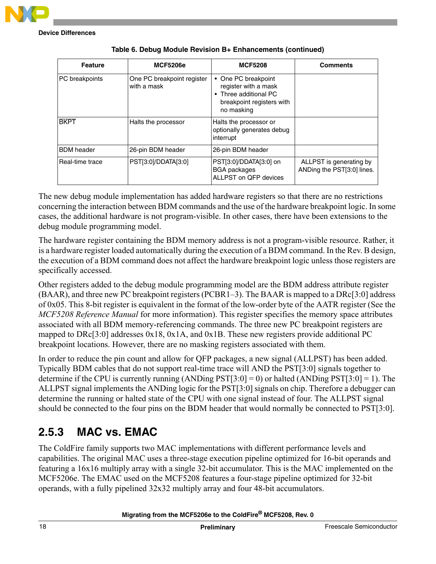

| <b>Feature</b>    | <b>MCF5206e</b>                           | <b>MCF5208</b>                                                                                                  | <b>Comments</b>                                       |
|-------------------|-------------------------------------------|-----------------------------------------------------------------------------------------------------------------|-------------------------------------------------------|
| PC breakpoints    | One PC breakpoint register<br>with a mask | • One PC breakpoint<br>register with a mask<br>• Three additional PC<br>breakpoint registers with<br>no masking |                                                       |
| <b>BKPT</b>       | Halts the processor                       | Halts the processor or<br>optionally generates debug<br>interrupt                                               |                                                       |
| <b>BDM</b> header | 26-pin BDM header                         | 26-pin BDM header                                                                                               |                                                       |
| Real-time trace   | PST[3:0]/DDATA[3:0]                       | PST[3:0]/DDATA[3:0] on<br><b>BGA</b> packages<br>ALLPST on OFP devices                                          | ALLPST is generating by<br>ANDing the PST[3:0] lines. |

The new debug module implementation has added hardware registers so that there are no restrictions concerning the interaction between BDM commands and the use of the hardware breakpoint logic. In some cases, the additional hardware is not program-visible. In other cases, there have been extensions to the debug module programming model.

The hardware register containing the BDM memory address is not a program-visible resource. Rather, it is a hardware register loaded automatically during the execution of a BDM command. In the Rev. B design, the execution of a BDM command does not affect the hardware breakpoint logic unless those registers are specifically accessed.

Other registers added to the debug module programming model are the BDM address attribute register (BAAR), and three new PC breakpoint registers (PCBR1–3). The BAAR is mapped to a DRc[3:0] address of 0x05. This 8-bit register is equivalent in the format of the low-order byte of the AATR register (See the *MCF5208 Reference Manual* for more information). This register specifies the memory space attributes associated with all BDM memory-referencing commands. The three new PC breakpoint registers are mapped to DRc[3:0] addresses 0x18, 0x1A, and 0x1B. These new registers provide additional PC breakpoint locations. However, there are no masking registers associated with them.

In order to reduce the pin count and allow for QFP packages, a new signal (ALLPST) has been added. Typically BDM cables that do not support real-time trace will AND the PST[3:0] signals together to determine if the CPU is currently running  $(ANDing PST[3:0] = 0)$  or halted  $(ANDing PST[3:0] = 1)$ . The ALLPST signal implements the ANDing logic for the PST[3:0] signals on chip. Therefore a debugger can determine the running or halted state of the CPU with one signal instead of four. The ALLPST signal should be connected to the four pins on the BDM header that would normally be connected to PST[3:0].

## <span id="page-17-0"></span>**2.5.3 MAC vs. EMAC**

The ColdFire family supports two MAC implementations with different performance levels and capabilities. The original MAC uses a three-stage execution pipeline optimized for 16-bit operands and featuring a 16x16 multiply array with a single 32-bit accumulator. This is the MAC implemented on the MCF5206e. The EMAC used on the MCF5208 features a four-stage pipeline optimized for 32-bit operands, with a fully pipelined 32x32 multiply array and four 48-bit accumulators.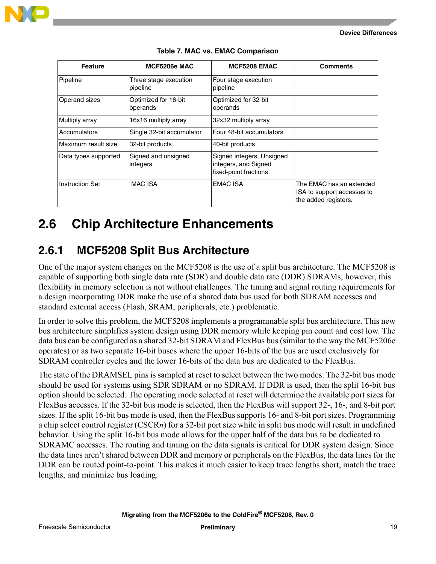



| <b>Feature</b>         | MCF5206e MAC                      | <b>MCF5208 EMAC</b>                                                        | <b>Comments</b>                                                                |
|------------------------|-----------------------------------|----------------------------------------------------------------------------|--------------------------------------------------------------------------------|
| Pipeline               | Three stage execution<br>pipeline | Four stage execution<br>pipeline                                           |                                                                                |
| Operand sizes          | Optimized for 16-bit<br>operands  | Optimized for 32-bit<br>operands                                           |                                                                                |
| Multiply array         | 16x16 multiply array              | 32x32 multiply array                                                       |                                                                                |
| Accumulators           | Single 32-bit accumulator         | Four 48-bit accumulators                                                   |                                                                                |
| Maximum result size    | 32-bit products                   | 40-bit products                                                            |                                                                                |
| Data types supported   | Signed and unsigned<br>integers   | Signed integers, Unsigned<br>integers, and Signed<br>fixed-point fractions |                                                                                |
| <b>Instruction Set</b> | <b>MAC ISA</b>                    | <b>EMAC ISA</b>                                                            | The EMAC has an extended<br>ISA to support accesses to<br>the added registers. |

**Table 7. MAC vs. EMAC Comparison**

## <span id="page-18-0"></span>**2.6 Chip Architecture Enhancements**

## <span id="page-18-1"></span>**2.6.1 MCF5208 Split Bus Architecture**

One of the major system changes on the MCF5208 is the use of a split bus architecture. The MCF5208 is capable of supporting both single data rate (SDR) and double data rate (DDR) SDRAMs; however, this flexibility in memory selection is not without challenges. The timing and signal routing requirements for a design incorporating DDR make the use of a shared data bus used for both SDRAM accesses and standard external access (Flash, SRAM, peripherals, etc.) problematic.

In order to solve this problem, the MCF5208 implements a programmable split bus architecture. This new bus architecture simplifies system design using DDR memory while keeping pin count and cost low. The data bus can be configured as a shared 32-bit SDRAM and FlexBus bus (similar to the way the MCF5206e operates) or as two separate 16-bit buses where the upper 16-bits of the bus are used exclusively for SDRAM controller cycles and the lower 16-bits of the data bus are dedicated to the FlexBus.

The state of the DRAMSEL pins is sampled at reset to select between the two modes. The 32-bit bus mode should be used for systems using SDR SDRAM or no SDRAM. If DDR is used, then the split 16-bit bus option should be selected. The operating mode selected at reset will determine the available port sizes for FlexBus accesses. If the 32-bit bus mode is selected, then the FlexBus will support 32-, 16-, and 8-bit port sizes. If the split 16-bit bus mode is used, then the FlexBus supports 16- and 8-bit port sizes. Programming a chip select control register (CSCR*n*) for a 32-bit port size while in split bus mode will result in undefined behavior. Using the split 16-bit bus mode allows for the upper half of the data bus to be dedicated to SDRAMC accesses. The routing and timing on the data signals is critical for DDR system design. Since the data lines aren't shared between DDR and memory or peripherals on the FlexBus, the data lines for the DDR can be routed point-to-point. This makes it much easier to keep trace lengths short, match the trace lengths, and minimize bus loading.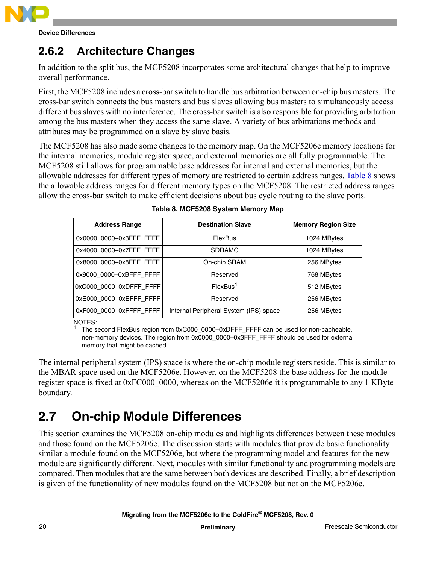

## **2.6.2 Architecture Changes**

In addition to the split bus, the MCF5208 incorporates some architectural changes that help to improve overall performance.

First, the MCF5208 includes a cross-bar switch to handle bus arbitration between on-chip bus masters. The cross-bar switch connects the bus masters and bus slaves allowing bus masters to simultaneously access different bus slaves with no interference. The cross-bar switch is also responsible for providing arbitration among the bus masters when they access the same slave. A variety of bus arbitrations methods and attributes may be programmed on a slave by slave basis.

The MCF5208 has also made some changes to the memory map. On the MCF5206e memory locations for the internal memories, module register space, and external memories are all fully programmable. The MCF5208 still allows for programmable base addresses for internal and external memories, but the allowable addresses for different types of memory are restricted to certain address ranges. Table 8 shows the allowable address ranges for different memory types on the MCF5208. The restricted address ranges allow the cross-bar switch to make efficient decisions about bus cycle routing to the slave ports.

| <b>Address Range</b>    | <b>Destination Slave</b>               | <b>Memory Region Size</b> |
|-------------------------|----------------------------------------|---------------------------|
| 0x0000 0000-0x3FFF FFFF | FlexBus                                | 1024 MBytes               |
| 0x4000 0000-0x7FFF FFFF | <b>SDRAMC</b>                          | 1024 MBytes               |
| 0x8000 0000-0x8FFF FFFF | On-chip SRAM                           | 256 MBytes                |
| 0x9000 0000-0xBFFF FFFF | Reserved                               | 768 MBytes                |
| 0xC000_0000-0xDFFF_FFFF | FlexBus <sup>1</sup>                   | 512 MBytes                |
| 0xE000_0000-0xEFFF_FFFF | Reserved                               | 256 MBytes                |
| 0xF000 0000-0xFFFF FFFF | Internal Peripheral System (IPS) space | 256 MBytes                |

| Table 8. MCF5208 System Memory Map |  |  |
|------------------------------------|--|--|
|                                    |  |  |

NOTES:

The second FlexBus region from 0xC000\_0000-0xDFFF\_FFFF can be used for non-cacheable, non-memory devices. The region from 0x0000\_0000-0x3FFF\_FFFF should be used for external memory that might be cached.

The internal peripheral system (IPS) space is where the on-chip module registers reside. This is similar to the MBAR space used on the MCF5206e. However, on the MCF5208 the base address for the module register space is fixed at 0xFC000\_0000, whereas on the MCF5206e it is programmable to any 1 KByte boundary.

# <span id="page-19-0"></span>**2.7 On-chip Module Differences**

This section examines the MCF5208 on-chip modules and highlights differences between these modules and those found on the MCF5206e. The discussion starts with modules that provide basic functionality similar a module found on the MCF5206e, but where the programming model and features for the new module are significantly different. Next, modules with similar functionality and programming models are compared. Then modules that are the same between both devices are described. Finally, a brief description is given of the functionality of new modules found on the MCF5208 but not on the MCF5206e.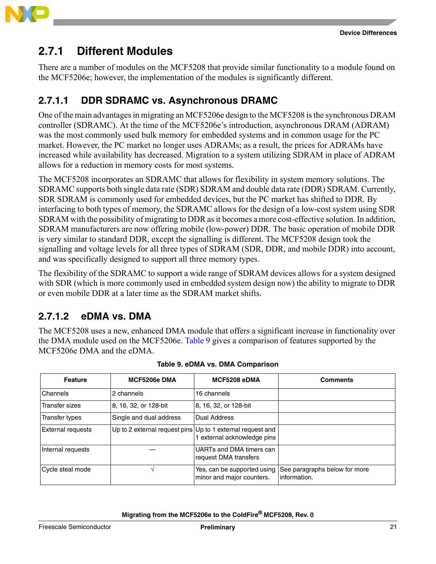

### **2.7.1 Different Modules**

There are a number of modules on the MCF5208 that provide similar functionality to a module found on the MCF5206e; however, the implementation of the modules is significantly different.

#### <span id="page-20-0"></span>**2.7.1.1 DDR SDRAMC vs. Asynchronous DRAMC**

One of the main advantages in migrating an MCF5206e design to the MCF5208 is the synchronous DRAM controller (SDRAMC). At the time of the MCF5206e's introduction, asynchronous DRAM (ADRAM) was the most commonly used bulk memory for embedded systems and in common usage for the PC market. However, the PC market no longer uses ADRAMs; as a result, the prices for ADRAMs have increased while availability has decreased. Migration to a system utilizing SDRAM in place of ADRAM allows for a reduction in memory costs for most systems.

The MCF5208 incorporates an SDRAMC that allows for flexibility in system memory solutions. The SDRAMC supports both single data rate (SDR) SDRAM and double data rate (DDR) SDRAM. Currently, SDR SDRAM is commonly used for embedded devices, but the PC market has shifted to DDR. By interfacing to both types of memory, the SDRAMC allows for the design of a low-cost system using SDR SDRAM with the possibility of migrating to DDR as it becomes a more cost-effective solution. In addition, SDRAM manufacturers are now offering mobile (low-power) DDR. The basic operation of mobile DDR is very similar to standard DDR, except the signalling is different. The MCF5208 design took the signalling and voltage levels for all three types of SDRAM (SDR, DDR, and mobile DDR) into account, and was specifically designed to support all three memory types.

The flexibility of the SDRAMC to support a wide range of SDRAM devices allows for a system designed with SDR (which is more commonly used in embedded system design now) the ability to migrate to DDR or even mobile DDR at a later time as the SDRAM market shifts.

#### <span id="page-20-1"></span>**2.7.1.2 eDMA vs. DMA**

The MCF5208 uses a new, enhanced DMA module that offers a significant increase in functionality over the DMA module used on the MCF5206e. Table 9 gives a comparison of features supported by the MCF5206e DMA and the eDMA.

| <b>Feature</b>           | MCF5206e DMA            | MCF5208 eDMA                                                                              | <b>Comments</b>                               |
|--------------------------|-------------------------|-------------------------------------------------------------------------------------------|-----------------------------------------------|
| Channels                 | 2 channels              | 16 channels                                                                               |                                               |
| Transfer sizes           | 8, 16, 32, or 128-bit   | 8, 16, 32, or 128-bit                                                                     |                                               |
| Transfer types           | Single and dual address | Dual Address                                                                              |                                               |
| <b>External requests</b> |                         | Up to 2 external request pins Up to 1 external request and<br>1 external acknowledge pins |                                               |
| Internal requests        |                         | UARTs and DMA timers can<br>request DMA transfers                                         |                                               |
| Cycle steal mode         |                         | Yes, can be supported using<br>minor and major counters.                                  | See paragraphs below for more<br>Information. |

|  |  |  |  | Table 9. eDMA vs. DMA Comparison |
|--|--|--|--|----------------------------------|
|--|--|--|--|----------------------------------|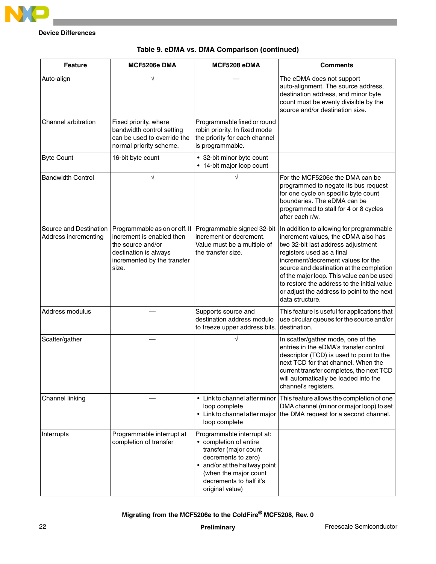

| <b>Feature</b>                                 | MCF5206e DMA                                                                                                                                     | MCF5208 eDMA                                                                                                                                                                                                 | <b>Comments</b>                                                                                                                                                                                                                                                                                                                                                                                   |
|------------------------------------------------|--------------------------------------------------------------------------------------------------------------------------------------------------|--------------------------------------------------------------------------------------------------------------------------------------------------------------------------------------------------------------|---------------------------------------------------------------------------------------------------------------------------------------------------------------------------------------------------------------------------------------------------------------------------------------------------------------------------------------------------------------------------------------------------|
| Auto-align                                     |                                                                                                                                                  |                                                                                                                                                                                                              | The eDMA does not support<br>auto-alignment. The source address,<br>destination address, and minor byte<br>count must be evenly divisible by the<br>source and/or destination size.                                                                                                                                                                                                               |
| Channel arbitration                            | Fixed priority, where<br>bandwidth control setting<br>can be used to override the<br>normal priority scheme.                                     | Programmable fixed or round<br>robin priority. In fixed mode<br>the priority for each channel<br>is programmable.                                                                                            |                                                                                                                                                                                                                                                                                                                                                                                                   |
| <b>Byte Count</b>                              | 16-bit byte count                                                                                                                                | • 32-bit minor byte count<br>• 14-bit major loop count                                                                                                                                                       |                                                                                                                                                                                                                                                                                                                                                                                                   |
| <b>Bandwidth Control</b>                       | V                                                                                                                                                |                                                                                                                                                                                                              | For the MCF5206e the DMA can be<br>programmed to negate its bus request<br>for one cycle on specific byte count<br>boundaries. The eDMA can be<br>programmed to stall for 4 or 8 cycles<br>after each r/w.                                                                                                                                                                                        |
| Source and Destination<br>Address incrementing | Programmable as on or off. If<br>increment is enabled then<br>the source and/or<br>destination is always<br>incremented by the transfer<br>size. | Programmable signed 32-bit<br>increment or decrement.<br>Value must be a multiple of<br>the transfer size.                                                                                                   | In addition to allowing for programmable<br>increment values, the eDMA also has<br>two 32-bit last address adjustment<br>registers used as a final<br>increment/decrement values for the<br>source and destination at the completion<br>of the major loop. This value can be used<br>to restore the address to the initial value<br>or adjust the address to point to the next<br>data structure. |
| Address modulus                                |                                                                                                                                                  | Supports source and<br>destination address modulo<br>to freeze upper address bits.                                                                                                                           | This feature is useful for applications that<br>use circular queues for the source and/or<br>destination.                                                                                                                                                                                                                                                                                         |
| Scatter/gather                                 |                                                                                                                                                  |                                                                                                                                                                                                              | In scatter/gather mode, one of the<br>entries in the eDMA's transfer control<br>descriptor (TCD) is used to point to the<br>next TCD for that channel. When the<br>current transfer completes, the next TCD<br>will automatically be loaded into the<br>channel's registers.                                                                                                                      |
| Channel linking                                |                                                                                                                                                  | • Link to channel after minor<br>loop complete<br>loop complete                                                                                                                                              | This feature allows the completion of one<br>DMA channel (minor or major loop) to set<br>• Link to channel after major   the DMA request for a second channel.                                                                                                                                                                                                                                    |
| Interrupts                                     | Programmable interrupt at<br>completion of transfer                                                                                              | Programmable interrupt at:<br>• completion of entire<br>transfer (major count<br>decrements to zero)<br>• and/or at the halfway point<br>(when the major count<br>decrements to half it's<br>original value) |                                                                                                                                                                                                                                                                                                                                                                                                   |

#### **Table 9. eDMA vs. DMA Comparison (continued)**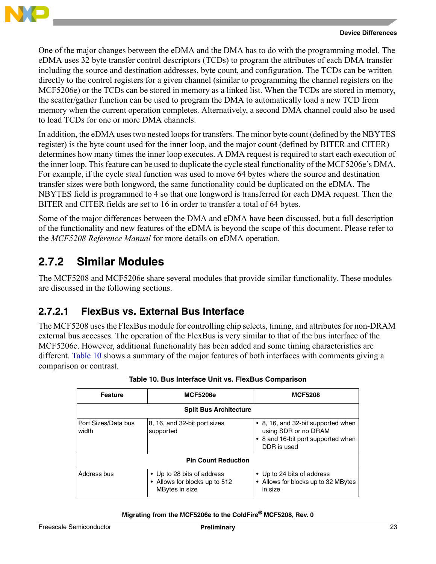

One of the major changes between the eDMA and the DMA has to do with the programming model. The eDMA uses 32 byte transfer control descriptors (TCDs) to program the attributes of each DMA transfer including the source and destination addresses, byte count, and configuration. The TCDs can be written directly to the control registers for a given channel (similar to programming the channel registers on the MCF5206e) or the TCDs can be stored in memory as a linked list. When the TCDs are stored in memory, the scatter/gather function can be used to program the DMA to automatically load a new TCD from memory when the current operation completes. Alternatively, a second DMA channel could also be used to load TCDs for one or more DMA channels.

In addition, the eDMA uses two nested loops for transfers. The minor byte count (defined by the NBYTES register) is the byte count used for the inner loop, and the major count (defined by BITER and CITER) determines how many times the inner loop executes. A DMA request is required to start each execution of the inner loop. This feature can be used to duplicate the cycle steal functionality of the MCF5206e's DMA. For example, if the cycle steal function was used to move 64 bytes where the source and destination transfer sizes were both longword, the same functionality could be duplicated on the eDMA. The NBYTES field is programmed to 4 so that one longword is transferred for each DMA request. Then the BITER and CITER fields are set to 16 in order to transfer a total of 64 bytes.

Some of the major differences between the DMA and eDMA have been discussed, but a full description of the functionality and new features of the eDMA is beyond the scope of this document. Please refer to the *MCF5208 Reference Manual* for more details on eDMA operation.

### **2.7.2 Similar Modules**

The MCF5208 and MCF5206e share several modules that provide similar functionality. These modules are discussed in the following sections.

#### <span id="page-22-0"></span>**2.7.2.1 FlexBus vs. External Bus Interface**

The MCF5208 uses the FlexBus module for controlling chip selects, timing, and attributes for non-DRAM external bus accesses. The operation of the FlexBus is very similar to that of the bus interface of the MCF5206e. However, additional functionality has been added and some timing characteristics are different. Table 10 shows a summary of the major features of both interfaces with comments giving a comparison or contrast.

| <b>Feature</b>                                                             | <b>MCF5206e</b>                                                               | <b>MCF5208</b>                                                                                                  |  |  |
|----------------------------------------------------------------------------|-------------------------------------------------------------------------------|-----------------------------------------------------------------------------------------------------------------|--|--|
|                                                                            | <b>Split Bus Architecture</b>                                                 |                                                                                                                 |  |  |
| IPort Sizes/Data bus<br>8, 16, and 32-bit port sizes<br>width<br>supported |                                                                               | • 8, 16, and 32-bit supported when<br>using SDR or no DRAM<br>• 8 and 16-bit port supported when<br>DDR is used |  |  |
| <b>Pin Count Reduction</b>                                                 |                                                                               |                                                                                                                 |  |  |
| Address bus                                                                | • Up to 28 bits of address<br>• Allows for blocks up to 512<br>MBytes in size | • Up to 24 bits of address<br>• Allows for blocks up to 32 MBytes<br>in size                                    |  |  |

|  | Table 10. Bus Interface Unit vs. FlexBus Comparison |  |  |  |
|--|-----------------------------------------------------|--|--|--|
|--|-----------------------------------------------------|--|--|--|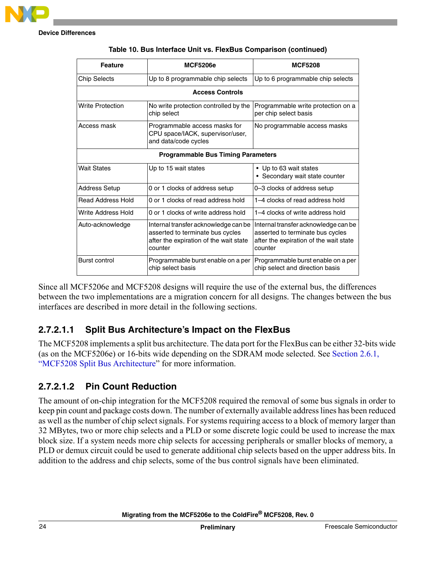

| <b>Feature</b>                            | <b>MCF5206e</b>                                                                                                               | <b>MCF5208</b>                                                                                                                |  |  |
|-------------------------------------------|-------------------------------------------------------------------------------------------------------------------------------|-------------------------------------------------------------------------------------------------------------------------------|--|--|
| <b>Chip Selects</b>                       | Up to 8 programmable chip selects                                                                                             | Up to 6 programmable chip selects                                                                                             |  |  |
|                                           | <b>Access Controls</b>                                                                                                        |                                                                                                                               |  |  |
| <b>Write Protection</b>                   | No write protection controlled by the<br>chip select                                                                          | Programmable write protection on a<br>per chip select basis                                                                   |  |  |
| Access mask                               | Programmable access masks for<br>CPU space/IACK, supervisor/user,<br>and data/code cycles                                     | No programmable access masks                                                                                                  |  |  |
| <b>Programmable Bus Timing Parameters</b> |                                                                                                                               |                                                                                                                               |  |  |
| <b>Wait States</b>                        | Up to 15 wait states                                                                                                          | • Up to 63 wait states<br>• Secondary wait state counter                                                                      |  |  |
| <b>Address Setup</b>                      | 0 or 1 clocks of address setup                                                                                                | 0-3 clocks of address setup                                                                                                   |  |  |
| Read Address Hold                         | 0 or 1 clocks of read address hold                                                                                            | 1-4 clocks of read address hold                                                                                               |  |  |
| <b>Write Address Hold</b>                 | 0 or 1 clocks of write address hold                                                                                           | 1–4 clocks of write address hold                                                                                              |  |  |
| Auto-acknowledge                          | Internal transfer acknowledge can be<br>asserted to terminate bus cycles<br>after the expiration of the wait state<br>counter | Internal transfer acknowledge can be<br>asserted to terminate bus cycles<br>after the expiration of the wait state<br>counter |  |  |
| Burst control                             | Programmable burst enable on a per<br>chip select basis                                                                       | Programmable burst enable on a per<br>chip select and direction basis                                                         |  |  |

Since all MCF5206e and MCF5208 designs will require the use of the external bus, the differences between the two implementations are a migration concern for all designs. The changes between the bus interfaces are described in more detail in the following sections.

#### **2.7.2.1.1 Split Bus Architecture's Impact on the FlexBus**

The MCF5208 implements a split bus architecture. The data port for the FlexBus can be either 32-bits wide (as on the MCF5206e) or 16-bits wide depending on the SDRAM mode selected. See [Section 2.6.1,](#page-18-1)  ["MCF5208 Split Bus Architecture"](#page-18-1) for more information.

#### **2.7.2.1.2 Pin Count Reduction**

The amount of on-chip integration for the MCF5208 required the removal of some bus signals in order to keep pin count and package costs down. The number of externally available address lines has been reduced as well as the number of chip select signals. For systems requiring access to a block of memory larger than 32 MBytes, two or more chip selects and a PLD or some discrete logic could be used to increase the max block size. If a system needs more chip selects for accessing peripherals or smaller blocks of memory, a PLD or demux circuit could be used to generate additional chip selects based on the upper address bits. In addition to the address and chip selects, some of the bus control signals have been eliminated.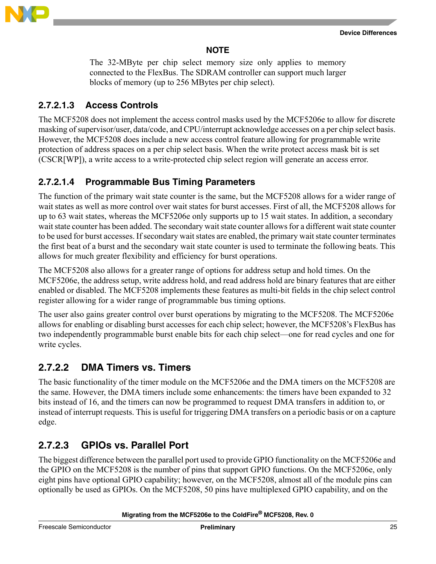

#### **NOTE**

The 32-MByte per chip select memory size only applies to memory connected to the FlexBus. The SDRAM controller can support much larger blocks of memory (up to 256 MBytes per chip select).

#### **2.7.2.1.3 Access Controls**

The MCF5208 does not implement the access control masks used by the MCF5206e to allow for discrete masking of supervisor/user, data/code, and CPU/interrupt acknowledge accesses on a per chip select basis. However, the MCF5208 does include a new access control feature allowing for programmable write protection of address spaces on a per chip select basis. When the write protect access mask bit is set (CSCR[WP]), a write access to a write-protected chip select region will generate an access error.

#### **2.7.2.1.4 Programmable Bus Timing Parameters**

The function of the primary wait state counter is the same, but the MCF5208 allows for a wider range of wait states as well as more control over wait states for burst accesses. First of all, the MCF5208 allows for up to 63 wait states, whereas the MCF5206e only supports up to 15 wait states. In addition, a secondary wait state counter has been added. The secondary wait state counter allows for a different wait state counter to be used for burst accesses. If secondary wait states are enabled, the primary wait state counter terminates the first beat of a burst and the secondary wait state counter is used to terminate the following beats. This allows for much greater flexibility and efficiency for burst operations.

The MCF5208 also allows for a greater range of options for address setup and hold times. On the MCF5206e, the address setup, write address hold, and read address hold are binary features that are either enabled or disabled. The MCF5208 implements these features as multi-bit fields in the chip select control register allowing for a wider range of programmable bus timing options.

The user also gains greater control over burst operations by migrating to the MCF5208. The MCF5206e allows for enabling or disabling burst accesses for each chip select; however, the MCF5208's FlexBus has two independently programmable burst enable bits for each chip select—one for read cycles and one for write cycles.

#### <span id="page-24-0"></span>**2.7.2.2 DMA Timers vs. Timers**

The basic functionality of the timer module on the MCF5206e and the DMA timers on the MCF5208 are the same. However, the DMA timers include some enhancements: the timers have been expanded to 32 bits instead of 16, and the timers can now be programmed to request DMA transfers in addition to, or instead of interrupt requests. This is useful for triggering DMA transfers on a periodic basis or on a capture edge.

#### <span id="page-24-1"></span>**2.7.2.3 GPIOs vs. Parallel Port**

The biggest difference between the parallel port used to provide GPIO functionality on the MCF5206e and the GPIO on the MCF5208 is the number of pins that support GPIO functions. On the MCF5206e, only eight pins have optional GPIO capability; however, on the MCF5208, almost all of the module pins can optionally be used as GPIOs. On the MCF5208, 50 pins have multiplexed GPIO capability, and on the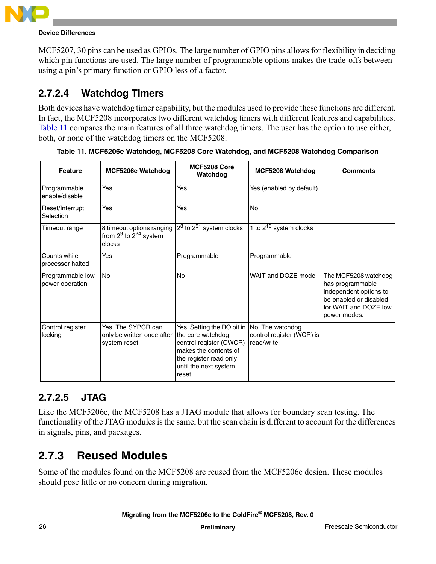

MCF5207, 30 pins can be used as GPIOs. The large number of GPIO pins allows for flexibility in deciding which pin functions are used. The large number of programmable options makes the trade-offs between using a pin's primary function or GPIO less of a factor.

### <span id="page-25-0"></span>**2.7.2.4 Watchdog Timers**

Both devices have watchdog timer capability, but the modules used to provide these functions are different. In fact, the MCF5208 incorporates two different watchdog timers with different features and capabilities. [Table 11](#page-25-2) compares the main features of all three watchdog timers. The user has the option to use either, both, or none of the watchdog timers on the MCF5208.

<span id="page-25-2"></span>

| <b>Feature</b>                      | MCF5206e Watchdog                                                    | MCF5208 Core<br>Watchdog                                                                                                                                                          | <b>MCF5208 Watchdog</b>                  | <b>Comments</b>                                                                                                                       |
|-------------------------------------|----------------------------------------------------------------------|-----------------------------------------------------------------------------------------------------------------------------------------------------------------------------------|------------------------------------------|---------------------------------------------------------------------------------------------------------------------------------------|
| Programmable<br>enable/disable      | Yes                                                                  | Yes                                                                                                                                                                               | Yes (enabled by default)                 |                                                                                                                                       |
| Reset/Interrupt<br>Selection        | Yes                                                                  | Yes                                                                                                                                                                               | <b>No</b>                                |                                                                                                                                       |
| Timeout range                       | 8 timeout options ranging<br>from $2^9$ to $2^{24}$ system<br>clocks | $2^8$ to $2^{31}$ system clocks                                                                                                                                                   | 1 to $2^{16}$ system clocks              |                                                                                                                                       |
| Counts while<br>processor halted    | Yes                                                                  | Programmable                                                                                                                                                                      | Programmable                             |                                                                                                                                       |
| Programmable low<br>power operation | No                                                                   | <b>No</b>                                                                                                                                                                         | WAIT and DOZE mode                       | The MCF5208 watchdog<br>has programmable<br>independent options to<br>be enabled or disabled<br>for WAIT and DOZE low<br>power modes. |
| Control register<br>locking         | Yes. The SYPCR can<br>only be written once after<br>system reset.    | Yes. Setting the RO bit in No. The watchdog<br>the core watchdog<br>control register (CWCR)<br>makes the contents of<br>the register read only<br>until the next system<br>reset. | control register (WCR) is<br>read/write. |                                                                                                                                       |

**Table 11. MCF5206e Watchdog, MCF5208 Core Watchdog, and MCF5208 Watchdog Comparison**

### <span id="page-25-1"></span>**2.7.2.5 JTAG**

Like the MCF5206e, the MCF5208 has a JTAG module that allows for boundary scan testing. The functionality of the JTAG modules is the same, but the scan chain is different to account for the differences in signals, pins, and packages.

## **2.7.3 Reused Modules**

Some of the modules found on the MCF5208 are reused from the MCF5206e design. These modules should pose little or no concern during migration.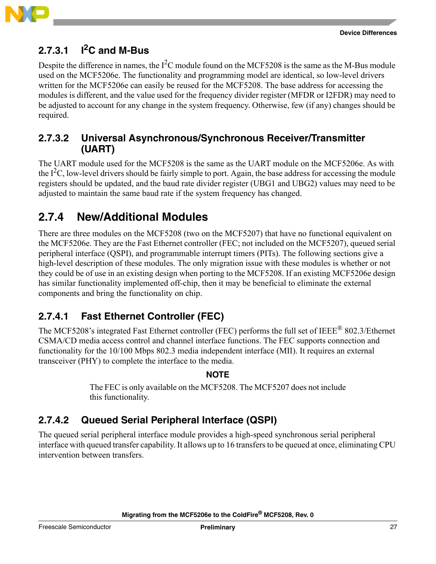

### <span id="page-26-2"></span>**2.7.3.1 I2C and M-Bus**

Despite the difference in names, the  $I^2C$  module found on the MCF5208 is the same as the M-Bus module used on the MCF5206e. The functionality and programming model are identical, so low-level drivers written for the MCF5206e can easily be reused for the MCF5208. The base address for accessing the modules is different, and the value used for the frequency divider register (MFDR or I2FDR) may need to be adjusted to account for any change in the system frequency. Otherwise, few (if any) changes should be required.

#### <span id="page-26-1"></span>**2.7.3.2 Universal Asynchronous/Synchronous Receiver/Transmitter (UART)**

The UART module used for the MCF5208 is the same as the UART module on the MCF5206e. As with the  $I<sup>2</sup>C$ , low-level drivers should be fairly simple to port. Again, the base address for accessing the module registers should be updated, and the baud rate divider register (UBG1 and UBG2) values may need to be adjusted to maintain the same baud rate if the system frequency has changed.

### **2.7.4 New/Additional Modules**

There are three modules on the MCF5208 (two on the MCF5207) that have no functional equivalent on the MCF5206e. They are the Fast Ethernet controller (FEC; not included on the MCF5207), queued serial peripheral interface (QSPI), and programmable interrupt timers (PITs). The following sections give a high-level description of these modules. The only migration issue with these modules is whether or not they could be of use in an existing design when porting to the MCF5208. If an existing MCF5206e design has similar functionality implemented off-chip, then it may be beneficial to eliminate the external components and bring the functionality on chip.

### <span id="page-26-0"></span>**2.7.4.1 Fast Ethernet Controller (FEC)**

The MCF5208's integrated Fast Ethernet controller (FEC) performs the full set of IEEE® 802.3/Ethernet CSMA/CD media access control and channel interface functions. The FEC supports connection and functionality for the 10/100 Mbps 802.3 media independent interface (MII). It requires an external transceiver (PHY) to complete the interface to the media.

#### **NOTE**

The FEC is only available on the MCF5208. The MCF5207 does not include this functionality.

### <span id="page-26-3"></span>**2.7.4.2 Queued Serial Peripheral Interface (QSPI)**

The queued serial peripheral interface module provides a high-speed synchronous serial peripheral interface with queued transfer capability. It allows up to 16 transfers to be queued at once, eliminating CPU intervention between transfers.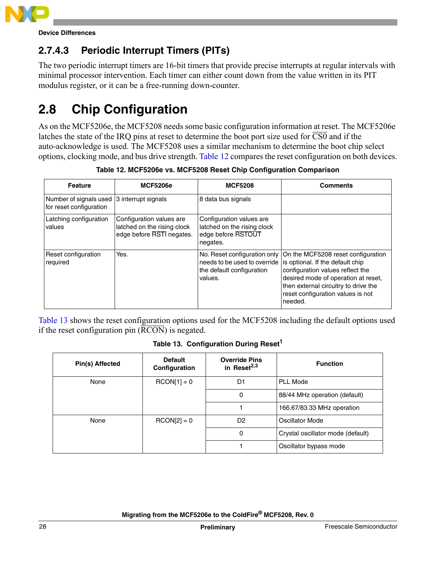

### <span id="page-27-1"></span>**2.7.4.3 Periodic Interrupt Timers (PITs)**

The two periodic interrupt timers are 16-bit timers that provide precise interrupts at regular intervals with minimal processor intervention. Each timer can either count down from the value written in its PIT modulus register, or it can be a free-running down-counter.

# <span id="page-27-0"></span>**2.8 Chip Configuration**

As on the MCF5206e, the MCF5208 needs some basic configuration information at reset. The MCF5206e latches the state of the IRQ pins at reset to determine the boot port size used for CS0 and if the auto-acknowledge is used. The MCF5208 uses a similar mechanism to determine the boot chip select options, clocking mode, and bus drive strength. Table 12 compares the reset configuration on both devices.

| <b>Feature</b>                                                        | <b>MCF5206e</b>                                                                      | <b>MCF5208</b>                                                                            | <b>Comments</b>                                                                                                                                                                                                                                                                                       |
|-----------------------------------------------------------------------|--------------------------------------------------------------------------------------|-------------------------------------------------------------------------------------------|-------------------------------------------------------------------------------------------------------------------------------------------------------------------------------------------------------------------------------------------------------------------------------------------------------|
| Number of signals used 3 interrupt signals<br>for reset configuration |                                                                                      | 8 data bus signals                                                                        |                                                                                                                                                                                                                                                                                                       |
| Latching configuration<br>values                                      | Configuration values are<br>latched on the rising clock<br>edge before RSTI negates. | Configuration values are<br>latched on the rising clock<br>edge before RSTOUT<br>negates. |                                                                                                                                                                                                                                                                                                       |
| Reset configuration<br>required                                       | Yes.                                                                                 | the default configuration<br>values.                                                      | No. Reset configuration only   On the MCF5208 reset configuration<br>needs to be used to override is optional. If the default chip<br>configuration values reflect the<br>desired mode of operation at reset,<br>then external circuitry to drive the<br>reset configuration values is not<br>needed. |

**Table 12. MCF5206e vs. MCF5208 Reset Chip Configuration Comparison**

Table 13 shows the reset configuration options used for the MCF5208 including the default options used if the reset configuration pin  $(\overline{RCON})$  is negated.

| Table 13. Configuration During Reset <sup>1</sup> |  |
|---------------------------------------------------|--|
|                                                   |  |

| Pin(s) Affected | <b>Default</b><br>Configuration | <b>Override Pins</b><br>in Reset $^{2,3}$ | <b>Function</b>                   |
|-----------------|---------------------------------|-------------------------------------------|-----------------------------------|
| None            | $RCON[1] = 0$                   | D1                                        | <b>PLL Mode</b>                   |
|                 |                                 | 0                                         | 88/44 MHz operation (default)     |
|                 |                                 |                                           | 166.67/83.33 MHz operation        |
| None            | $RCON[2] = 0$                   | D <sub>2</sub>                            | Oscillator Mode                   |
|                 |                                 | 0                                         | Crystal oscillator mode (default) |
|                 |                                 |                                           | Oscillator bypass mode            |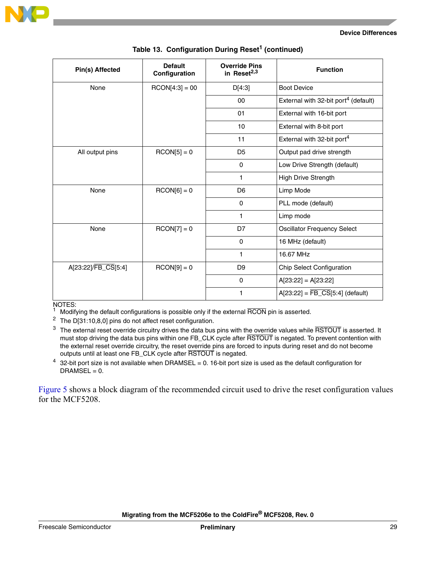

| Pin(s) Affected     | <b>Default</b><br>Configuration | <b>Override Pins</b><br>in Reset <sup>2,3</sup> | <b>Function</b>                                  |
|---------------------|---------------------------------|-------------------------------------------------|--------------------------------------------------|
| None                | $RCON[4:3] = 00$                | D[4:3]                                          | <b>Boot Device</b>                               |
|                     |                                 | 00                                              | External with 32-bit port <sup>4</sup> (default) |
|                     |                                 | 01                                              | External with 16-bit port                        |
|                     |                                 | 10                                              | External with 8-bit port                         |
|                     |                                 | 11                                              | External with 32-bit port <sup>4</sup>           |
| All output pins     | $RCON[5] = 0$                   | D <sub>5</sub>                                  | Output pad drive strength                        |
|                     |                                 | 0                                               | Low Drive Strength (default)                     |
|                     |                                 | 1                                               | High Drive Strength                              |
| None                | $RCON[6] = 0$                   | D <sub>6</sub>                                  | Limp Mode                                        |
|                     |                                 | 0                                               | PLL mode (default)                               |
|                     |                                 | 1                                               | Limp mode                                        |
| None                | $RCON[7] = 0$                   | D7                                              | <b>Oscillator Frequency Select</b>               |
|                     |                                 | 0                                               | 16 MHz (default)                                 |
|                     |                                 | 1                                               | 16.67 MHz                                        |
| A[23:22]/FB_CS[5:4] | $RCON[9] = 0$                   | D <sub>9</sub>                                  | Chip Select Configuration                        |
|                     |                                 | 0                                               | $A[23:22] = A[23:22]$                            |
|                     |                                 | 1                                               | $A[23:22] = \overline{FB\_CS}[5:4]$ (default)    |

| Table 13. Configuration During Reset <sup>1</sup> (continued) |  |  |
|---------------------------------------------------------------|--|--|
|                                                               |  |  |

NOTES:

Modifying the default configurations is possible only if the external RCON pin is asserted.

<sup>2</sup> The D[31:10,8,0] pins do not affect reset configuration.

 $3$  The external reset override circuitry drives the data bus pins with the override values while  $\overline{\text{RSTOUT}}$  is asserted. It must stop driving the data bus pins within one FB\_CLK cycle after RSTOUT is negated. To prevent contention with the external reset override circuitry, the reset override pins are forced to inputs during reset and do not become outputs until at least one FB\_CLK cycle after RSTOUT is negated.

 $4$  32-bit port size is not available when DRAMSEL = 0. 16-bit port size is used as the default configuration for  $DRAMSEL = 0.$ 

[Figure 5](#page-29-2) shows a block diagram of the recommended circuit used to drive the reset configuration values for the MCF5208.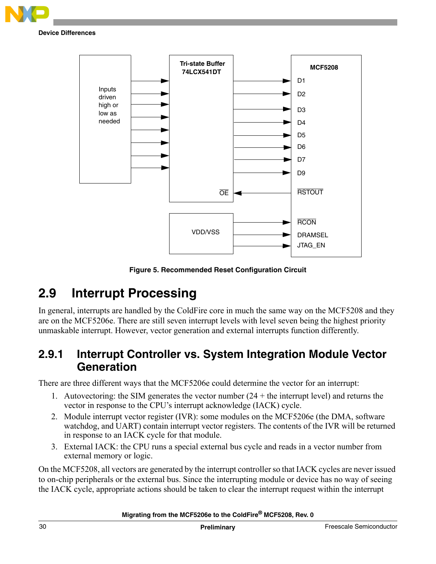



**Figure 5. Recommended Reset Configuration Circuit**

## <span id="page-29-2"></span><span id="page-29-0"></span>**2.9 Interrupt Processing**

In general, interrupts are handled by the ColdFire core in much the same way on the MCF5208 and they are on the MCF5206e. There are still seven interrupt levels with level seven being the highest priority unmaskable interrupt. However, vector generation and external interrupts function differently.

### <span id="page-29-1"></span>**2.9.1 Interrupt Controller vs. System Integration Module Vector Generation**

There are three different ways that the MCF5206e could determine the vector for an interrupt:

- 1. Autovectoring: the SIM generates the vector number (24 + the interrupt level) and returns the vector in response to the CPU's interrupt acknowledge (IACK) cycle.
- 2. Module interrupt vector register (IVR): some modules on the MCF5206e (the DMA, software watchdog, and UART) contain interrupt vector registers. The contents of the IVR will be returned in response to an IACK cycle for that module.
- 3. External IACK: the CPU runs a special external bus cycle and reads in a vector number from external memory or logic.

On the MCF5208, all vectors are generated by the interrupt controller so that IACK cycles are never issued to on-chip peripherals or the external bus. Since the interrupting module or device has no way of seeing the IACK cycle, appropriate actions should be taken to clear the interrupt request within the interrupt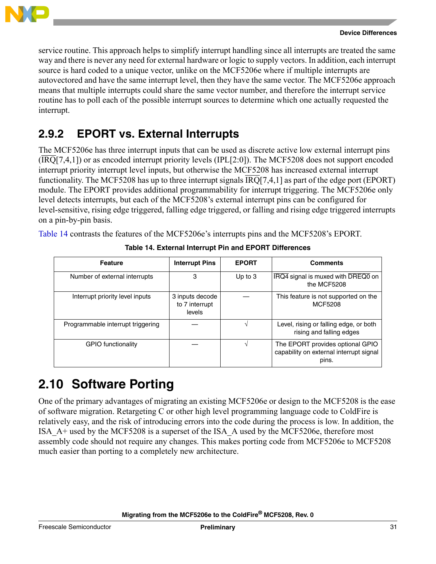![](_page_30_Picture_0.jpeg)

service routine. This approach helps to simplify interrupt handling since all interrupts are treated the same way and there is never any need for external hardware or logic to supply vectors. In addition, each interrupt source is hard coded to a unique vector, unlike on the MCF5206e where if multiple interrupts are autovectored and have the same interrupt level, then they have the same vector. The MCF5206e approach means that multiple interrupts could share the same vector number, and therefore the interrupt service routine has to poll each of the possible interrupt sources to determine which one actually requested the interrupt.

## **2.9.2 EPORT vs. External Interrupts**

The MCF5206e has three interrupt inputs that can be used as discrete active low external interrupt pins (IRQ[7,4,1]) or as encoded interrupt priority levels (IPL[2:0]). The MCF5208 does not support encoded interrupt priority interrupt level inputs, but otherwise the MCF5208 has increased external interrupt functionality. The MCF5208 has up to three interrupt signals IRQ[7,4,1] as part of the edge port (EPORT) module. The EPORT provides additional programmability for interrupt triggering. The MCF5206e only level detects interrupts, but each of the MCF5208's external interrupt pins can be configured for level-sensitive, rising edge triggered, falling edge triggered, or falling and rising edge triggered interrupts on a pin-by-pin basis.

Table 14 contrasts the features of the MCF5206e's interrupts pins and the MCF5208's EPORT.

| <b>Feature</b>                    | <b>Interrupt Pins</b>                       | <b>EPORT</b> | <b>Comments</b>                                                                      |
|-----------------------------------|---------------------------------------------|--------------|--------------------------------------------------------------------------------------|
| Number of external interrupts     | 3                                           | Up to $3$    | IRQ4 signal is muxed with DREQ0 on<br>the MCF5208                                    |
| Interrupt priority level inputs   | 3 inputs decode<br>to 7 interrupt<br>levels |              | This feature is not supported on the<br>MCF5208                                      |
| Programmable interrupt triggering |                                             |              | Level, rising or falling edge, or both<br>rising and falling edges                   |
| <b>GPIO</b> functionality         |                                             |              | The EPORT provides optional GPIO<br>capability on external interrupt signal<br>pins. |

**Table 14. External Interrupt Pin and EPORT Differences**

## <span id="page-30-0"></span>**2.10 Software Porting**

One of the primary advantages of migrating an existing MCF5206e or design to the MCF5208 is the ease of software migration. Retargeting C or other high level programming language code to ColdFire is relatively easy, and the risk of introducing errors into the code during the process is low. In addition, the ISA\_A+ used by the MCF5208 is a superset of the ISA\_A used by the MCF5206e, therefore most assembly code should not require any changes. This makes porting code from MCF5206e to MCF5208 much easier than porting to a completely new architecture.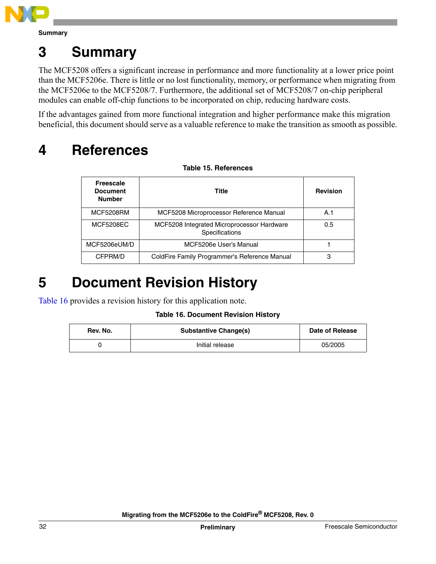![](_page_31_Picture_0.jpeg)

# <span id="page-31-0"></span>**3 Summary**

The MCF5208 offers a significant increase in performance and more functionality at a lower price point than the MCF5206e. There is little or no lost functionality, memory, or performance when migrating from the MCF5206e to the MCF5208/7. Furthermore, the additional set of MCF5208/7 on-chip peripheral modules can enable off-chip functions to be incorporated on chip, reducing hardware costs.

If the advantages gained from more functional integration and higher performance make this migration beneficial, this document should serve as a valuable reference to make the transition as smooth as possible.

# <span id="page-31-1"></span>**4 References**

| <b>Freescale</b><br><b>Document</b><br><b>Number</b> | Title                                                        | <b>Revision</b> |
|------------------------------------------------------|--------------------------------------------------------------|-----------------|
| <b>MCF5208RM</b>                                     | MCF5208 Microprocessor Reference Manual                      | A.1             |
| <b>MCF5208EC</b>                                     | MCF5208 Integrated Microprocessor Hardware<br>Specifications | 0.5             |
| MCF5206eUM/D                                         | MCF5206e User's Manual                                       |                 |
| CFPRM/D                                              | ColdFire Family Programmer's Reference Manual                | 3               |

#### **Table 15. References**

# <span id="page-31-2"></span>**5 Document Revision History**

Table 16 provides a revision history for this application note.

#### **Table 16. Document Revision History**

| Rev. No. | <b>Substantive Change(s)</b> | Date of Release |
|----------|------------------------------|-----------------|
|          | Initial release              | 05/2005         |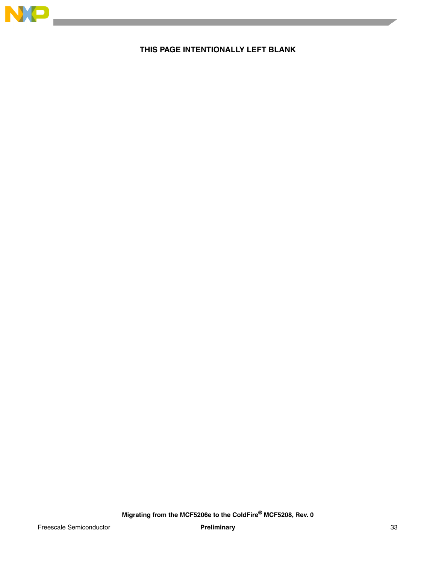![](_page_32_Picture_0.jpeg)

 $\mathcal{L}^{\text{max}}$ 

#### **THIS PAGE INTENTIONALLY LEFT BLANK**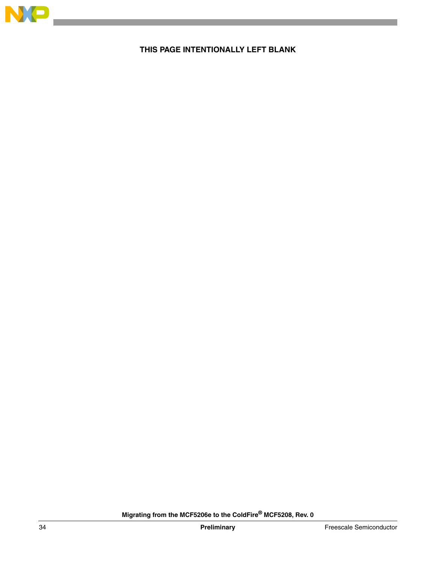![](_page_33_Picture_0.jpeg)

#### **THIS PAGE INTENTIONALLY LEFT BLANK**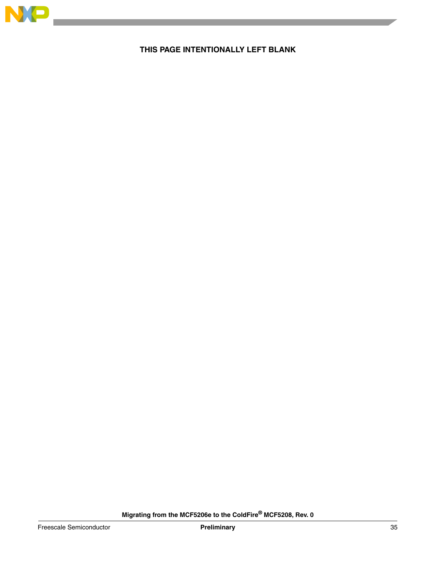![](_page_34_Picture_0.jpeg)

 $\mathcal{L}^{\text{max}}$ 

#### **THIS PAGE INTENTIONALLY LEFT BLANK**